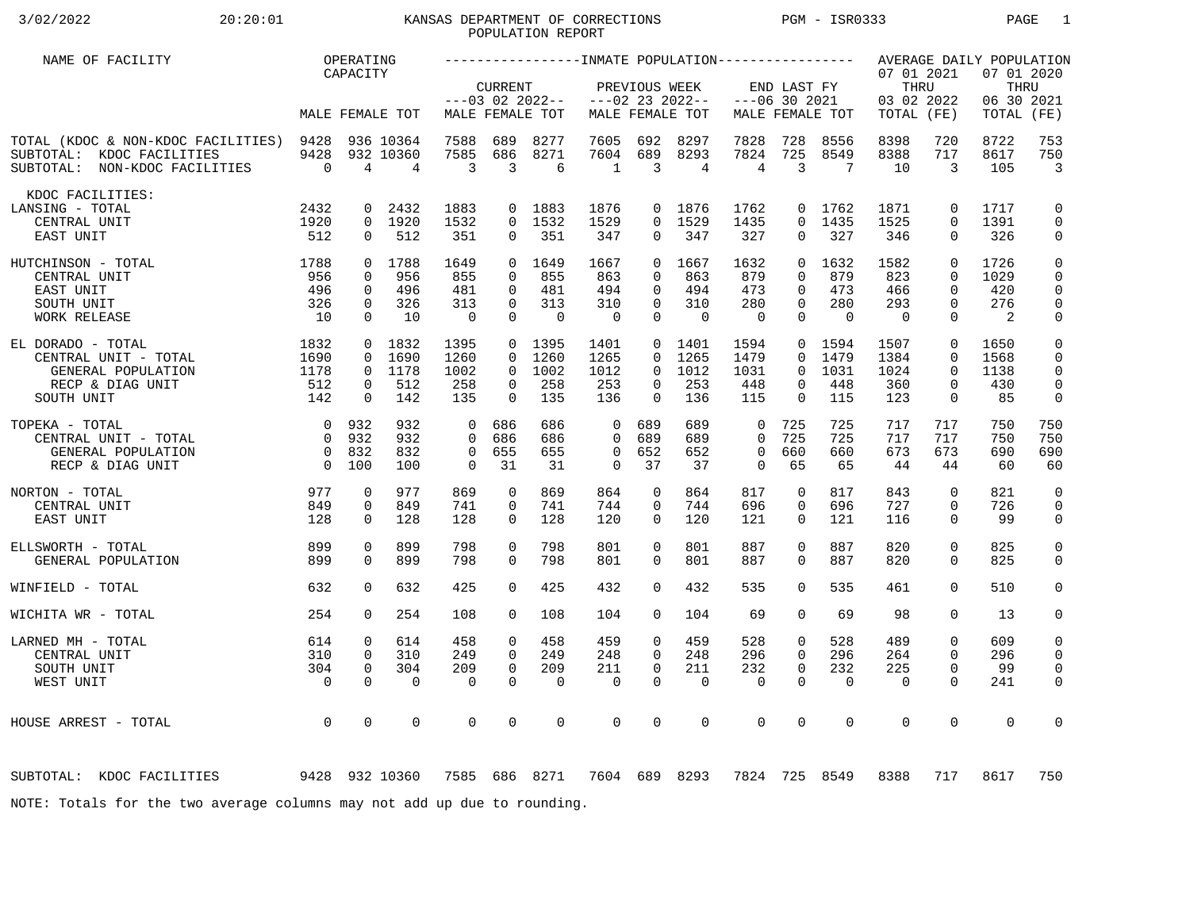# 3/02/2022 20:20:01 KANSAS DEPARTMENT OF CORRECTIONS PGM - ISR0333 PAGE 1 POPULATION REPORT

| NAME OF FACILITY                                                                                      |                                  | OPERATING                  |                             |                   |                         |                                      |                              |                              |                                      |                         |                      |                   |                                                |                         | AVERAGE DAILY POPULATION          |                              |
|-------------------------------------------------------------------------------------------------------|----------------------------------|----------------------------|-----------------------------|-------------------|-------------------------|--------------------------------------|------------------------------|------------------------------|--------------------------------------|-------------------------|----------------------|-------------------|------------------------------------------------|-------------------------|-----------------------------------|------------------------------|
|                                                                                                       |                                  | CAPACITY                   | MALE FEMALE TOT             |                   | <b>CURRENT</b>          | $---03$ 02 2022--<br>MALE FEMALE TOT |                              | PREVIOUS WEEK                | $---02$ 23 2022--<br>MALE FEMALE TOT | $---06$ 30 2021         | END LAST FY          | MALE FEMALE TOT   | 07 01 2021<br>THRU<br>03 02 2022<br>TOTAL (FE) |                         | 07 01 2020<br>06 30 2021<br>TOTAL | THRU<br>(FE)                 |
|                                                                                                       |                                  |                            |                             |                   |                         |                                      |                              |                              |                                      |                         |                      |                   |                                                |                         |                                   |                              |
| TOTAL (KDOC & NON-KDOC FACILITIES) 9428<br>SUBTOTAL: KDOC FACILITIES<br>SUBTOTAL: NON-KDOC FACILITIES | 9428<br>$\overline{0}$           | 4                          | 936 10364<br>932 10360<br>4 | 7588<br>7585<br>3 | 689<br>686<br>3         | 8277<br>8271<br>6                    | 7605<br>7604<br>$\mathbf{1}$ | 692<br>689<br>$\overline{3}$ | 8297<br>8293<br>4                    | 7828<br>7824<br>4       | 728<br>725<br>3      | 8556<br>8549<br>7 | 8398<br>8388<br>10                             | 720<br>717<br>3         | 8722<br>8617<br>105               | 753<br>750<br>$\overline{3}$ |
| KDOC FACILITIES:                                                                                      |                                  |                            |                             |                   |                         |                                      |                              |                              |                                      |                         |                      |                   |                                                |                         |                                   |                              |
| LANSING - TOTAL                                                                                       | 2432                             | 0                          | 2432                        | 1883              | $\overline{0}$          | 1883                                 | 1876                         |                              | 0 1876                               | 1762                    | 0                    | 1762              | 1871                                           | $\mathbf 0$             | 1717                              | 0                            |
| CENTRAL UNIT<br>EAST UNIT                                                                             | 1920<br>512                      | $\mathbf 0$                | 0 1920<br>512               | 1532<br>351       | $\Omega$<br>0           | 1532<br>351                          | 1529<br>347                  | $\Omega$<br>$\mathbf{0}$     | 1529<br>347                          | 1435<br>327             | $\Omega$<br>0        | 1435<br>327       | 1525<br>346                                    | $\Omega$<br>$\mathbf 0$ | 1391<br>326                       | $\mathbf 0$<br>0             |
| 1788<br>HUTCHINSON - TOTAL                                                                            |                                  |                            | 0 1788                      | 1649              | $\Omega$                | 1649                                 | 1667                         | $\Omega$                     | 1667                                 | 1632                    | $\Omega$             | 1632              | 1582                                           | $\Omega$                | 1726                              | $\mathsf 0$                  |
| CENTRAL UNIT<br>EAST UNIT                                                                             | 956<br>496                       | $\Omega$<br>$\Omega$       | 956<br>496                  | 855<br>481        | $\Omega$<br>$\Omega$    | 855<br>481                           | 863<br>494                   | $\Omega$<br>$\Omega$         | 863<br>494                           | 879<br>473              | $\Omega$<br>$\Omega$ | 879<br>473        | 823<br>466                                     | $\Omega$<br>$\Omega$    | 1029<br>420                       | 0<br>0                       |
| SOUTH UNIT                                                                                            | 326                              | $\mathbf 0$                | 326                         | 313               | $\Omega$                | 313                                  | 310                          | $\mathbf 0$                  | 310                                  | 280                     | $\Omega$             | 280               | 293                                            | $\Omega$                | 276                               | $\mathbf 0$                  |
| WORK RELEASE                                                                                          | 10                               | $\Omega$                   | 10                          | $\overline{0}$    | $\Omega$                | $\Omega$                             | $\overline{0}$               | $\Omega$                     | $\Omega$                             | $\Omega$                | $\Omega$             | $\Omega$          | $\Omega$                                       | $\Omega$                | 2                                 | $\mathsf{0}$                 |
| EL DORADO - TOTAL                                                                                     | 1832                             |                            | 0 1832                      | 1395              |                         | 0 1395                               | 1401                         |                              | 0 1401                               | 1594                    | $\overline{0}$       | 1594              | 1507                                           | $\mathbf 0$             | 1650                              | $\mathbf 0$                  |
| CENTRAL UNIT - TOTAL                                                                                  | 1690                             | $\Omega$<br>$\overline{0}$ | 1690<br>1178                | 1260              | $\Omega$<br>$\Omega$    | 1260<br>1002                         | 1265<br>1012                 | $\Omega$<br>$\Omega$         | 1265<br>1012                         | 1479<br>1031            | $\Omega$<br>$\Omega$ | 1479<br>1031      | 1384<br>1024                                   | $\Omega$<br>$\Omega$    | 1568<br>1138                      | $\mathbf 0$<br>$\mathbf 0$   |
| GENERAL POPULATION<br>RECP & DIAG UNIT                                                                | 1178<br>512                      | $\mathbf 0$                | 512                         | 1002<br>258       | $\Omega$                | 258                                  | 253                          | 0                            | 253                                  | 448                     | 0                    | 448               | 360                                            | $\mathbf 0$             | 430                               | $\mathbf 0$                  |
| SOUTH UNIT                                                                                            | 142                              | $\Omega$                   | 142                         | 135               | $\Omega$                | 135                                  | 136                          | $\Omega$                     | 136                                  | 115                     | $\Omega$             | 115               | 123                                            | $\mathbf 0$             | 85                                | 0                            |
| TOPEKA - TOTAL                                                                                        | $\overline{0}$                   | 932                        | 932                         | $\Omega$          | 686                     | 686                                  | $\mathbf 0$                  | 689                          | 689                                  | $\mathbf 0$             | 725                  | 725               | 717                                            | 717                     | 750                               | 750                          |
| CENTRAL UNIT - TOTAL                                                                                  | $\overline{0}$                   | 932                        | 932                         | $\Omega$          | 686                     | 686                                  | $\Omega$                     | 689                          | 689                                  | $\Omega$                | 725                  | 725               | 717                                            | 717                     | 750                               | 750                          |
| GENERAL POPULATION<br>RECP & DIAG UNIT                                                                | $\overline{0}$<br>$\overline{0}$ | 832<br>100                 | 832<br>100                  | $\mathbf 0$<br>0  | 655<br>31               | 655<br>31                            | $\mathbf 0$<br>$\mathbf 0$   | 652<br>37                    | 652<br>37                            | $\mathbf 0$<br>$\Omega$ | 660<br>65            | 660<br>65         | 673<br>44                                      | 673<br>44               | 690<br>60                         | 690<br>60                    |
| NORTON - TOTAL                                                                                        | 977                              | 0                          | 977                         | 869               | $\mathbf 0$             | 869                                  | 864                          | 0                            | 864                                  | 817                     | 0                    | 817               | 843                                            | $\mathbf 0$             | 821                               | $\mathbf 0$                  |
| CENTRAL UNIT                                                                                          | 849                              | $\mathbf 0$                | 849                         | 741               | 0                       | 741                                  | 744                          | 0                            | 744                                  | 696                     | 0                    | 696               | 727                                            | $\mathbf 0$             | 726                               | 0                            |
| EAST UNIT                                                                                             | 128                              | $\Omega$                   | 128                         | 128               | $\Omega$                | 128                                  | 120                          | $\Omega$                     | 120                                  | 121                     | $\Omega$             | 121               | 116                                            | $\Omega$                | 99                                | 0                            |
| ELLSWORTH - TOTAL                                                                                     | 899                              | $\Omega$                   | 899                         | 798               | $\Omega$                | 798                                  | 801                          | $\Omega$                     | 801                                  | 887                     | $\Omega$             | 887               | 820                                            | $\mathbf 0$             | 825                               | $\mathsf{O}$                 |
| GENERAL POPULATION                                                                                    | 899                              | $\Omega$                   | 899                         | 798               | $\Omega$                | 798                                  | 801                          | $\Omega$                     | 801                                  | 887                     | $\Omega$             | 887               | 820                                            | $\Omega$                | 825                               | $\mathbf 0$                  |
| WINFIELD - TOTAL                                                                                      | 632                              | $\Omega$                   | 632                         | 425               | $\Omega$                | 425                                  | 432                          | $\Omega$                     | 432                                  | 535                     | $\Omega$             | 535               | 461                                            | $\Omega$                | 510                               | $\mathbf 0$                  |
| WICHITA WR - TOTAL                                                                                    | 254                              | $\Omega$                   | 254                         | 108               | $\Omega$                | 108                                  | 104                          | $\Omega$                     | 104                                  | 69                      | $\Omega$             | 69                | 98                                             | $\Omega$                | 13                                | 0                            |
| LARNED MH - TOTAL                                                                                     | 614                              | $\mathbf 0$                | 614                         | 458               | $\Omega$                | 458                                  | 459                          | $\mathbf 0$                  | 459                                  | 528                     | 0                    | 528               | 489                                            | $\mathbf 0$             | 609                               | 0                            |
| CENTRAL UNIT                                                                                          | 310                              | $\mathbf 0$                | 310                         | 249               | $\Omega$                | 249                                  | 248                          | $\Omega$                     | 248                                  | 296                     | $\Omega$             | 296               | 264                                            | $\Omega$                | 296                               | 0                            |
| SOUTH UNIT                                                                                            | 304                              | $\mathbf 0$<br>$\Omega$    | 304<br>$\Omega$             | 209<br>$\Omega$   | $\mathbf 0$<br>$\Omega$ | 209                                  | 211                          | $\mathbf 0$<br>$\Omega$      | 211<br>$\Omega$                      | 232                     | 0<br>$\Omega$        | 232               | 225                                            | $\mathbf 0$<br>$\Omega$ | 99                                | $\mathbf 0$                  |
| WEST UNIT                                                                                             | $\overline{0}$                   |                            |                             |                   |                         | $\mathbf 0$                          | $\mathbf 0$                  |                              |                                      | $\mathbf 0$             |                      | $\mathbf 0$       | $\mathbf 0$                                    |                         | 241                               | 0                            |
| HOUSE ARREST - TOTAL                                                                                  | $\overline{0}$                   | $\mathbf 0$                | 0                           | 0                 | 0                       | $\mathbf 0$                          | $\mathbf 0$                  | $\mathbf 0$                  | $\mathbf 0$                          | $\mathbf 0$             | 0                    | $\mathbf 0$       | $\mathbf 0$                                    | $\mathbf 0$             | $\mathbf 0$                       | 0                            |
| 9428 932 10360<br>SUBTOTAL: KDOC FACILITIES                                                           |                                  |                            |                             |                   |                         | 7585 686 8271                        |                              |                              | 7604 689 8293                        | 7824                    |                      | 725 8549          | 8388                                           | 717                     | 8617                              | 750                          |
| NOTE: Totals for the two average columns may not add up due to rounding.                              |                                  |                            |                             |                   |                         |                                      |                              |                              |                                      |                         |                      |                   |                                                |                         |                                   |                              |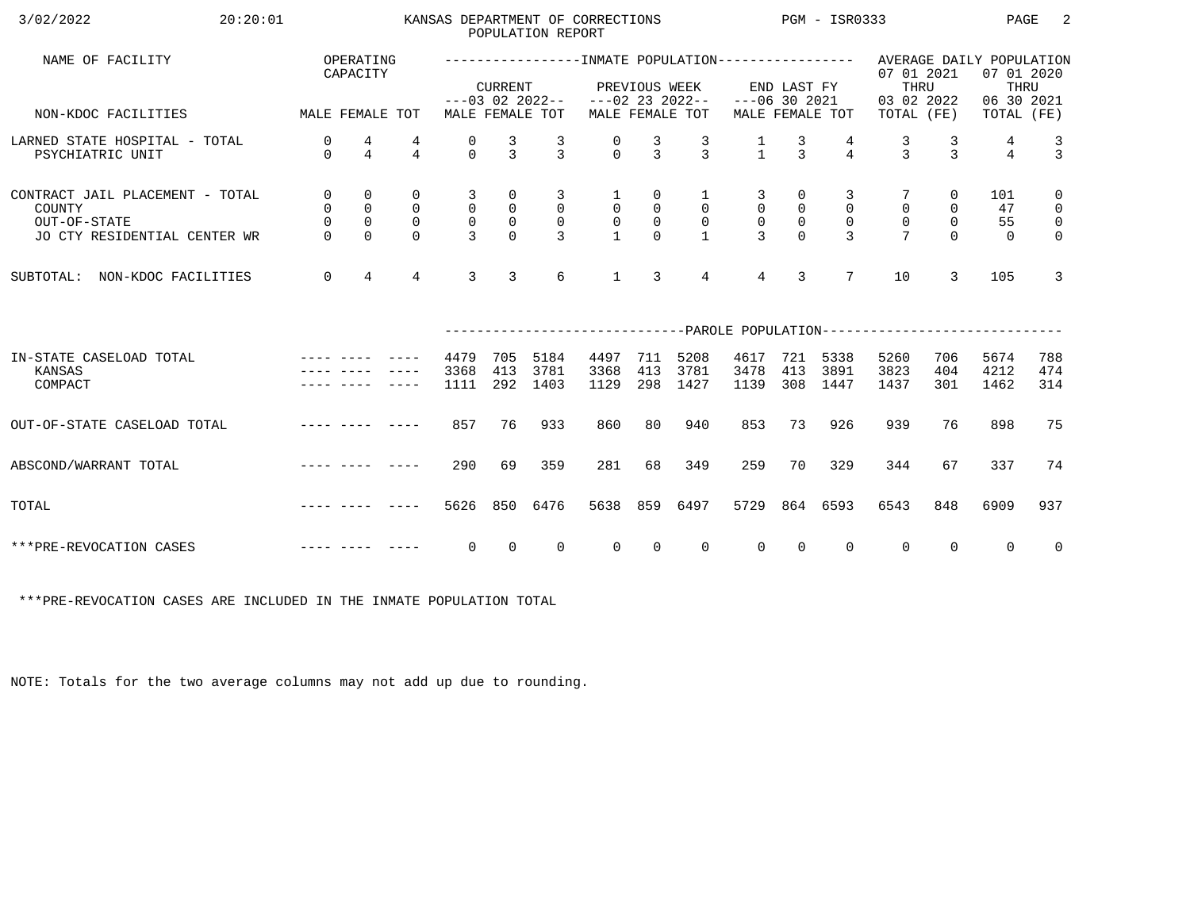| 3/02/2022<br>20:20:01                                                                                                                                                                                                                                     |                                                              |                                                               |                                                        |                                                   |                                                             | POPULATION REPORT                                     | KANSAS DEPARTMENT OF CORRECTIONS              |                                                 |                                                                  | $PGM - ISR0333$                                   |                                  |                                                 |                                                                                                  |                                               | PAGE                        | -2                                                                         |
|-----------------------------------------------------------------------------------------------------------------------------------------------------------------------------------------------------------------------------------------------------------|--------------------------------------------------------------|---------------------------------------------------------------|--------------------------------------------------------|---------------------------------------------------|-------------------------------------------------------------|-------------------------------------------------------|-----------------------------------------------|-------------------------------------------------|------------------------------------------------------------------|---------------------------------------------------|----------------------------------|-------------------------------------------------|--------------------------------------------------------------------------------------------------|-----------------------------------------------|-----------------------------|----------------------------------------------------------------------------|
| NAME OF FACILITY                                                                                                                                                                                                                                          |                                                              | OPERATING<br>CAPACITY                                         |                                                        |                                                   | <b>CURRENT</b>                                              |                                                       |                                               | PREVIOUS WEEK                                   |                                                                  |                                                   | END LAST FY                      |                                                 | ----------------INMATE POPULATION---------------- AVERAGE DAILY POPULATION<br>07 01 2021<br>THRU |                                               | 07 01 2020<br>THRU          |                                                                            |
| MALE FEMALE TOT<br>NON-KDOC FACILITIES                                                                                                                                                                                                                    |                                                              |                                                               |                                                        |                                                   |                                                             | MALE FEMALE TOT                                       | $---03$ 02 2022-- $---02$ 23 2022--           |                                                 | MALE FEMALE TOT                                                  | $---06$ 30 2021                                   |                                  | MALE FEMALE TOT                                 | 03 02 2022<br>TOTAL (FE)                                                                         |                                               | 06 30 2021<br>TOTAL (FE)    |                                                                            |
| LARNED STATE HOSPITAL - TOTAL<br>PSYCHIATRIC UNIT                                                                                                                                                                                                         | 0<br>$\Omega$                                                | 4<br>$\overline{4}$                                           | 4<br>$\overline{4}$                                    | 0<br>$\Omega$                                     | $\frac{3}{3}$                                               | $\frac{3}{3}$                                         | $\begin{matrix} 0 \\ 0 \end{matrix}$          | $\frac{3}{3}$                                   | $\frac{3}{3}$                                                    | $\frac{1}{1}$                                     | $\frac{3}{3}$                    | $\overline{4}$                                  | $\frac{3}{3}$                                                                                    | $\frac{3}{3}$                                 | 4<br>$\overline{4}$         | $\frac{3}{3}$                                                              |
| CONTRACT JAIL PLACEMENT - TOTAL<br>COUNTY<br>OUT-OF-STATE<br>JO CTY RESIDENTIAL CENTER WR                                                                                                                                                                 | $\overline{0}$<br>$\overline{0}$<br>$\mathsf{O}$<br>$\Omega$ | $\mathbf 0$<br>$\mathbf 0$<br>$\mathsf{O}\xspace$<br>$\Omega$ | $\mathbf 0$<br>$\mathsf{O}$<br>$\mathbf 0$<br>$\Omega$ | 3<br>$\mathsf{O}$<br>$\mathsf{O}$<br>$\mathbf{3}$ | 0<br>$\begin{smallmatrix}0\\0\end{smallmatrix}$<br>$\Omega$ | 3<br>$\overline{0}$<br>$\overline{0}$<br>$\mathbf{R}$ | $\mathbf{1}$<br>$\overline{0}$<br>$\mathsf 0$ | 0<br>$\overline{0}$<br>$\mathsf{O}$<br>$\Omega$ | $\mathbf{1}$<br>$\overline{0}$<br>$\overline{0}$<br>$\mathbf{1}$ | 3<br>$\mathsf{O}$<br>$\mathsf{O}$<br>$\mathbf{z}$ | 0<br>$\mathsf{O}$<br>$\mathsf 0$ | 3<br>$\mathbf 0$<br>$\mathbf 0$<br>$\mathbf{R}$ | $\mathbf 0$<br>$\mathsf{O}$                                                                      | 0<br>$\mathsf{O}$<br>$\overline{0}$<br>$\cap$ | 101<br>47<br>55<br>$\Omega$ | $\mathbf 0$<br>$\overline{0}$<br>$\overline{\mathbf{0}}$<br>$\overline{0}$ |
| NON-KDOC FACILITIES<br>SUBTOTAL:                                                                                                                                                                                                                          | $\mathbf 0$                                                  | $\overline{4}$                                                | $\overline{4}$                                         | 3                                                 | $\overline{3}$                                              | 6                                                     | $\mathbf{1}$                                  | 3                                               | $\overline{4}$                                                   | $\overline{4}$                                    | $\overline{3}$                   | $7\overline{ }$                                 | 10                                                                                               | 3                                             | 105                         | $\overline{3}$                                                             |
|                                                                                                                                                                                                                                                           |                                                              |                                                               |                                                        |                                                   |                                                             |                                                       |                                               |                                                 |                                                                  |                                                   |                                  |                                                 | ---------------------------PAROLE POPULATION--------------------------                           |                                               |                             |                                                                            |
| IN-STATE CASELOAD TOTAL<br>KANSAS<br>COMPACT                                                                                                                                                                                                              |                                                              |                                                               |                                                        | 4479<br>3368<br>1111                              | 705<br>413<br>292                                           | 5184<br>3781<br>1403                                  | 4497<br>3368<br>1129                          | 711<br>413<br>298                               | 5208<br>3781<br>1427                                             | 4617<br>3478<br>1139                              | 721<br>413<br>308                | 5338<br>3891<br>1447                            | 5260<br>3823<br>1437                                                                             | 706<br>404<br>301                             | 5674<br>4212<br>1462        | 788<br>474<br>314                                                          |
| OUT-OF-STATE CASELOAD TOTAL                                                                                                                                                                                                                               |                                                              |                                                               |                                                        | 857                                               | 76                                                          | 933                                                   | 860                                           | 80                                              | 940                                                              | 853                                               | 73                               | 926                                             | 939                                                                                              | 76                                            | 898                         | 75                                                                         |
| ABSCOND/WARRANT TOTAL                                                                                                                                                                                                                                     |                                                              |                                                               |                                                        | 290                                               | 69                                                          | 359                                                   | 281                                           | 68                                              | 349                                                              | 259                                               | 70                               | 329                                             | 344                                                                                              | 67                                            | 337                         | 74                                                                         |
| and the complete state of the complete state of the complete state of the complete state of the complete state of the complete state of the complete state of the complete state of the complete state of the complete state o<br>TOTAL                   |                                                              |                                                               |                                                        | 5626                                              |                                                             | 850 6476                                              | 5638                                          | 859                                             | 6497                                                             | 5729                                              |                                  | 864 6593                                        | 6543                                                                                             | 848                                           | 6909                        | 937                                                                        |
| and the complete state of the state of the state of the state of the state of the state of the state of the state of the state of the state of the state of the state of the state of the state of the state of the state of t<br>***PRE-REVOCATION CASES |                                                              |                                                               |                                                        | $\overline{0}$                                    | $\overline{0}$                                              | $\overline{0}$                                        | $\overline{0}$                                | $\overline{0}$                                  | $\overline{0}$                                                   | $\overline{0}$                                    | $\overline{0}$                   | $\mathbf{0}$                                    | $\mathbf{0}$                                                                                     | $\Omega$                                      | $\overline{0}$              | $\overline{\mathbf{0}}$                                                    |

\*\*\*PRE-REVOCATION CASES ARE INCLUDED IN THE INMATE POPULATION TOTAL

NOTE: Totals for the two average columns may not add up due to rounding.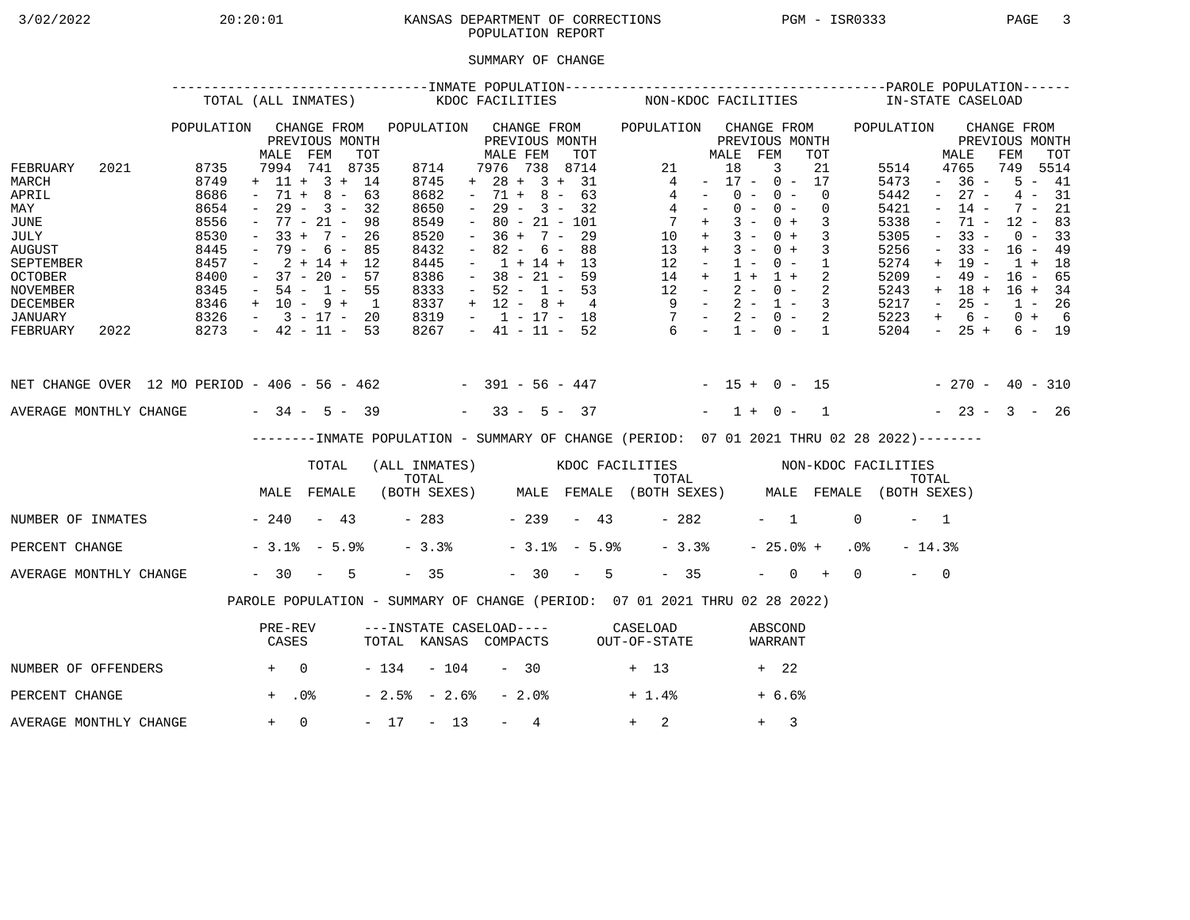## 3/02/2022 20:20:01 KANSAS DEPARTMENT OF CORRECTIONS PGM - ISR0333 PAGE 3 POPULATION REPORT

## SUMMARY OF CHANGE

|                                                                                                                                              | TOTAL (ALL INMATES)                                                                  |                                        |                                                                                                                                                                               |                                          |                                                                                                                               | KDOC FACILITIES |                                                       |                                                                                                                                                    |       |                                | NON-KDOC FACILITIES                                          |                                                                                  |                                   |                                                          |                     |                                                                                                                                                   |           |                                                                                      |                                                                                                                        | IN-STATE CASELOAD                                                                                       |                    |                                                                                                              |               |
|----------------------------------------------------------------------------------------------------------------------------------------------|--------------------------------------------------------------------------------------|----------------------------------------|-------------------------------------------------------------------------------------------------------------------------------------------------------------------------------|------------------------------------------|-------------------------------------------------------------------------------------------------------------------------------|-----------------|-------------------------------------------------------|----------------------------------------------------------------------------------------------------------------------------------------------------|-------|--------------------------------|--------------------------------------------------------------|----------------------------------------------------------------------------------|-----------------------------------|----------------------------------------------------------|---------------------|---------------------------------------------------------------------------------------------------------------------------------------------------|-----------|--------------------------------------------------------------------------------------|------------------------------------------------------------------------------------------------------------------------|---------------------------------------------------------------------------------------------------------|--------------------|--------------------------------------------------------------------------------------------------------------|---------------|
|                                                                                                                                              | POPULATION                                                                           | MALE                                   | CHANGE FROM<br>PREVIOUS MONTH<br>FEM                                                                                                                                          | TOT                                      | POPULATION CHANGE FROM                                                                                                        |                 |                                                       | PREVIOUS MONTH<br>MALE FEM                                                                                                                         |       | TOT                            | POPULATION CHANGE FROM                                       |                                                                                  |                                   | MALE FEM                                                 |                     | PREVIOUS MONTH<br>TOT                                                                                                                             |           | POPULATION                                                                           |                                                                                                                        | PREVIOUS MONTH<br>MALE                                                                                  | CHANGE FROM<br>FEM |                                                                                                              | TOT           |
| FEBRUARY<br>2021<br>MARCH<br>APRIL<br>MAY<br>JUNE<br>JULY<br>AUGUST<br>SEPTEMBER<br><b>OCTOBER</b><br><b>NOVEMBER</b><br><b>DECEMBER</b>     | 8735<br>8749<br>8686<br>8654<br>8556<br>8530<br>8445<br>8457<br>8400<br>8345<br>8346 | $\sim$<br>$-33 +$<br>$\sim$ 100 $\sim$ | 7994 741 8735<br>$+ 11 + 3 + 14$<br>$-71 + 8 - 63$<br>$29 - 3 -$<br>$-77 - 21 -$<br>$7 -$<br>- 79 - 6 -<br>$2 + 14 + 12$<br>$-37 - 20 - 57$<br>$-54 - 1 - 55$<br>$+$ 10 - 9 + | 32<br>- 98<br>26<br>85<br>$\overline{1}$ | 8714<br>8745<br>8682<br>8650<br>8549<br>8520<br>8432<br>8445<br>8386<br>8333<br>8337                                          | $\equiv$        | $+ 28 +$<br>$-71 +$<br>$\sim$<br>$  \,$<br>$\sim$ $-$ | 7976 738 8714<br>$29 -$<br>$80 - 21 - 101$<br>$36 + 7 -$<br>$82 - 6 - 88$<br>$-1 + 14 + 13$<br>$-38 - 21 - 59$<br>$-52 - 1 - 53$<br>$+ 12 - 8 + 4$ | $3 -$ | 3 + 31<br>$8 - 63$<br>32<br>29 |                                                              | 21<br>4<br>4<br>$4 -$<br>$10 +$<br>$13 +$<br>$12 -$<br>$14 +$<br>$12 -$<br>$9 -$ | <b>Contract Contract</b><br>$7 +$ | 18<br>$0 -$<br>$0 -$<br>$3 -$<br>$3 -$<br>$3 -$<br>$1 +$ | 3<br>$0 -$<br>$0 -$ | 21<br>$-17 - 0 - 17$<br>$\overline{0}$<br>$\overline{0}$<br>$0 + 3$<br>$0 + 3$<br>$0 + 3$<br>$1 - 0 - 1$<br>$1 + 2$<br>$2 - 0 - 2$<br>$2 - 1 - 3$ |           | 5514<br>5473<br>5442<br>5421<br>5338<br>5305<br>5256<br>5274<br>5209<br>5243<br>5217 | $\sim$<br>$\equiv$<br>$\overline{\phantom{a}}$<br>$\overline{\phantom{a}}$<br>$\sim$<br>$+$<br>$\sim$<br>$+$<br>$\sim$ | 4765<br>$-36 -$<br>$27 -$<br>$14 -$<br>$71 -$<br>$33 -$<br>$33 -$<br>19 -<br>$49 -$<br>$18 +$<br>$25 -$ | 749<br>4           | $5 - 41$<br>$7 - 21$<br>$12 - 83$<br>$0 - 33$<br>$16 - 49$<br>$1 + 18$<br>$16 - 65$<br>$16 + 34$<br>$1 - 26$ | 5514<br>$-31$ |
| JANUARY<br>FEBRUARY<br>2022                                                                                                                  | $8326 - 3 - 17 - 20$<br>$8273 - 42 - 11 - 53$                                        |                                        |                                                                                                                                                                               |                                          | 8319<br>8267                                                                                                                  |                 |                                                       |                                                                                                                                                    |       |                                | $-1 - 17 - 18$ $-2 - 0 - 2$<br>$-41 - 11 - 52$ 6 - 1 - 0 - 1 |                                                                                  |                                   |                                                          |                     |                                                                                                                                                   |           | 5223<br>5204                                                                         | $+$                                                                                                                    | $6 -$<br>$-25+$                                                                                         |                    | $0 + 6$                                                                                                      | $6 - 19$      |
| NET CHANGE OVER 12 MO PERIOD - 406 - 56 - 462 - - 391 - 56 - 447 - - 15 + 0 - 15 - - 270 - 40 - 310<br>AVERAGE MONTHLY CHANGE $-34 - 5 - 39$ |                                                                                      |                                        |                                                                                                                                                                               |                                          |                                                                                                                               |                 |                                                       | $-33 - 5 - 37$                                                                                                                                     |       |                                |                                                              |                                                                                  |                                   |                                                          |                     | $-1+0-1$                                                                                                                                          |           | $-23 - 3 - 26$                                                                       |                                                                                                                        |                                                                                                         |                    |                                                                                                              |               |
|                                                                                                                                              |                                                                                      |                                        |                                                                                                                                                                               |                                          |                                                                                                                               |                 |                                                       |                                                                                                                                                    |       |                                |                                                              |                                                                                  |                                   |                                                          |                     |                                                                                                                                                   |           |                                                                                      |                                                                                                                        |                                                                                                         |                    |                                                                                                              |               |
|                                                                                                                                              |                                                                                      |                                        | --------INMATE POPULATION - SUMMARY OF CHANGE (PERIOD: 07 01 2021 THRU 02 28 2022)--------                                                                                    |                                          |                                                                                                                               |                 |                                                       |                                                                                                                                                    |       |                                |                                                              |                                                                                  |                                   |                                                          |                     |                                                                                                                                                   |           |                                                                                      |                                                                                                                        |                                                                                                         |                    |                                                                                                              |               |
|                                                                                                                                              |                                                                                      |                                        | TOTAL<br>MALE FEMALE                                                                                                                                                          |                                          | (ALL INMATES) KDOC FACILITIES NON-KDOC FACILITIES<br>TOTAL TOTAL TOTAL TOTAL TOTAL TOTAL TOTAL TOTAL TOTAL TOTAL (BOTH SEXES) |                 |                                                       |                                                                                                                                                    |       |                                |                                                              |                                                                                  |                                   |                                                          |                     |                                                                                                                                                   |           |                                                                                      |                                                                                                                        |                                                                                                         |                    |                                                                                                              |               |
| NUMBER OF INMATES - 240 - 43                                                                                                                 |                                                                                      |                                        |                                                                                                                                                                               |                                          |                                                                                                                               |                 |                                                       |                                                                                                                                                    |       | $-283 -239 -43$                |                                                              | $-282$                                                                           |                                   |                                                          | $-1$                |                                                                                                                                                   | $\Omega$  |                                                                                      | $-1$                                                                                                                   |                                                                                                         |                    |                                                                                                              |               |
| PERCENT CHANGE                                                                                                                               |                                                                                      |                                        | $-3.1$ $-5.9$                                                                                                                                                                 |                                          | $-3.3%$                                                                                                                       |                 |                                                       |                                                                                                                                                    |       | $-3.1$ % $-5.9$ %              |                                                              | $-3.3%$                                                                          |                                   |                                                          |                     | $-25.0%$ +                                                                                                                                        | $.0\%$    |                                                                                      | $-14.3%$                                                                                                               |                                                                                                         |                    |                                                                                                              |               |
| AVERAGE MONTHLY CHANGE                                                                                                                       |                                                                                      |                                        | $-30 - 5$                                                                                                                                                                     |                                          | $-35$                                                                                                                         |                 |                                                       |                                                                                                                                                    |       | $-30 - 5$                      |                                                              | $-35$                                                                            |                                   |                                                          |                     |                                                                                                                                                   | $-$ 0 + 0 |                                                                                      | $-$ 0                                                                                                                  |                                                                                                         |                    |                                                                                                              |               |
|                                                                                                                                              |                                                                                      |                                        | PAROLE POPULATION - SUMMARY OF CHANGE (PERIOD: 07 01 2021 THRU 02 28 2022)                                                                                                    |                                          |                                                                                                                               |                 |                                                       |                                                                                                                                                    |       |                                |                                                              |                                                                                  |                                   |                                                          |                     |                                                                                                                                                   |           |                                                                                      |                                                                                                                        |                                                                                                         |                    |                                                                                                              |               |
|                                                                                                                                              |                                                                                      | PRE-REV<br>CASES                       |                                                                                                                                                                               |                                          | ---INSTATE CASELOAD---- CASELOAD<br>TOTAL KANSAS COMPACTS OUT-OF-STATE                                                        |                 |                                                       |                                                                                                                                                    |       |                                |                                                              |                                                                                  |                                   |                                                          | ABSCOND<br>WARRANT  |                                                                                                                                                   |           |                                                                                      |                                                                                                                        |                                                                                                         |                    |                                                                                                              |               |
| NUMBER OF OFFENDERS                                                                                                                          | $+$ 0                                                                                |                                        |                                                                                                                                                                               |                                          | $-134 - 104$                                                                                                                  |                 |                                                       | $-30$                                                                                                                                              |       |                                | $+$ 13                                                       |                                                                                  |                                   |                                                          | + 22                |                                                                                                                                                   |           |                                                                                      |                                                                                                                        |                                                                                                         |                    |                                                                                                              |               |
| PERCENT CHANGE                                                                                                                               |                                                                                      | $+$ .0%                                |                                                                                                                                                                               |                                          | $-2.5% - 2.6%$                                                                                                                |                 |                                                       | - 2.0%                                                                                                                                             |       |                                | $+1.4%$                                                      |                                                                                  |                                   |                                                          | $+6.6%$             |                                                                                                                                                   |           |                                                                                      |                                                                                                                        |                                                                                                         |                    |                                                                                                              |               |
| AVERAGE MONTHLY CHANGE                                                                                                                       |                                                                                      | $+ 0$                                  |                                                                                                                                                                               |                                          | $-17 - 13$                                                                                                                    |                 |                                                       | 4<br>$\sim$ 100 $\mu$                                                                                                                              |       |                                | $+$ $-$                                                      | 2                                                                                |                                   |                                                          | $+$                 | 3                                                                                                                                                 |           |                                                                                      |                                                                                                                        |                                                                                                         |                    |                                                                                                              |               |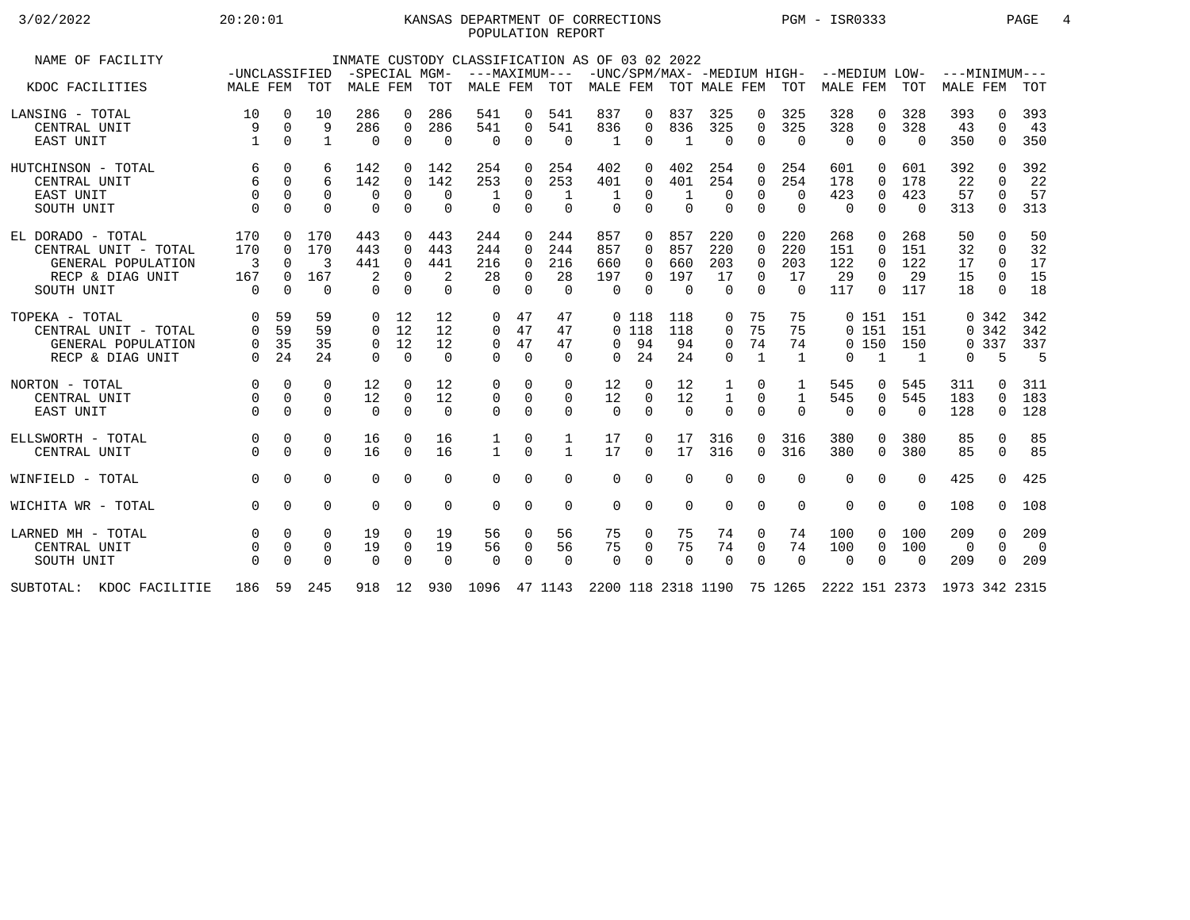## 3/02/2022 20:20:01 KANSAS DEPARTMENT OF CORRECTIONS PGM - ISR0333 PAGE 4 POPULATION REPORT

| NAME OF FACILITY         |                               |             |               | -SPECIAL MGM- |             |          | INMATE CUSTODY CLASSIFICATION AS OF 03 02 2022<br>---MAXIMUM--- -UNC/SPM/MAX- -MEDIUM HIGH- --MEDIUM LOW- |             |              |                           |             |             |              |                |                |                |              |                |                             |              |                |
|--------------------------|-------------------------------|-------------|---------------|---------------|-------------|----------|-----------------------------------------------------------------------------------------------------------|-------------|--------------|---------------------------|-------------|-------------|--------------|----------------|----------------|----------------|--------------|----------------|-----------------------------|--------------|----------------|
| KDOC FACILITIES          | -UNCLASSIFIED<br>MALE FEM TOT |             |               | MALE FEM TOT  |             |          | MALE FEM                                                                                                  |             | TOT          | MALE FEM TOT MALE FEM TOT |             |             |              |                |                | MALE FEM TOT   |              |                | $---MINIMUM---$<br>MALE FEM |              | TOT            |
|                          |                               |             |               |               |             |          |                                                                                                           |             |              |                           |             |             |              |                |                |                |              |                |                             |              |                |
| LANSING - TOTAL          | 10                            | $\mathbf 0$ | 10            | 286           | $\Omega$    | 286      | 541                                                                                                       | 0           | 541          | 837                       | 0           | 837         | 325          | $\Omega$       | 325            | 328            | $\Omega$     | 328            | 393                         | $\Omega$     | 393            |
| CENTRAL UNIT             | 9                             | $\Omega$    | 9             | 286           | $\Omega$    | 286      | 541                                                                                                       | 0           | 541          | 836                       | $\mathbf 0$ | 836         | 325          | $\Omega$       | 325            | 328            | $\Omega$     | 328            | 43                          | $\Omega$     | 43             |
| EAST UNIT                |                               | $\Omega$    | $\mathbf{1}$  | $\Omega$      | $\Omega$    | $\Omega$ | $\Omega$                                                                                                  | $\mathbf 0$ | $\Omega$     | -1                        | $\Omega$    | 1           | $\Omega$     | $\Omega$       | $\Omega$       | $\Omega$       | $\Omega$     | $\Omega$       | 350                         | $\Omega$     | 350            |
| HUTCHINSON - TOTAL       | 6                             | $\Omega$    | 6             | 142           | $\Omega$    | 142      | 254                                                                                                       | $\Omega$    | 254          | 402                       | 0           | 402         | 254          | $\Omega$       | 254            | 601            | $\Omega$     | 601            | 392                         | <sup>n</sup> | 392            |
| CENTRAL UNIT             | 6                             | $\Omega$    | б.            | 142           | $\Omega$    | 142      | 253                                                                                                       | $\Omega$    | 253          | 401                       | $\Omega$    | 401         | 254          | $\Omega$       | 254            | 178            | $\Omega$     | 178            | 22                          | $\Omega$     | 22             |
| EAST UNIT                | $\Omega$                      | $\Omega$    | $\Omega$      | 0             | $\Omega$    | $\Omega$ |                                                                                                           | $\Omega$    | 1            | -1                        | $\Omega$    |             | $\Omega$     | $\Omega$       | $\Omega$       | 423            | $\Omega$     | 423            | 57                          | $\Omega$     | 57             |
| SOUTH UNIT               | $\Omega$                      | $\Omega$    | $\Omega$      | $\mathbf 0$   | $\mathbf 0$ | $\Omega$ | $\Omega$                                                                                                  | $\mathbf 0$ | $\mathbf 0$  | $\Omega$                  | $\Omega$    | $\mathbf 0$ | $\mathbf 0$  | $\Omega$       | $\mathbf 0$    | $\overline{0}$ | $\Omega$     | $\Omega$       | 313                         | $\mathbf 0$  | 313            |
| EL DORADO - TOTAL        | 170                           | $\Omega$    | 170           | 443           | $\Omega$    | 443      | 244                                                                                                       | 0           | 244          | 857                       | $\Omega$    | 857         | 220          | $\Omega$       | 220            | 268            | $\Omega$     | 268            | 50                          | $\Omega$     | 50             |
| CENTRAL UNIT - TOTAL     | 170                           | $\Omega$    | 170           | 443           | $\Omega$    | 443      | 244                                                                                                       | $\Omega$    | 244          | 857                       | $\Omega$    | 857         | 220          | $\Omega$       | 220            | 151            | $\Omega$     | 151            | 32                          | $\Omega$     | 32             |
| GENERAL POPULATION       | 3                             | $\Omega$    | $\mathcal{E}$ | 441           | $\Omega$    | 441      | 216                                                                                                       | $\Omega$    | 216          | 660                       | 0           | 660         | 203          | $\Omega$       | 203            | 122            | $\Omega$     | 122            | 17                          | $\Omega$     | 17             |
| RECP & DIAG UNIT         | 167                           | $\Omega$    | 167           | 2             | $\Omega$    | 2        | 28                                                                                                        | $\Omega$    | 28           | 197                       | 0           | 197         | 17           | $\Omega$       | 17             | 29             | $\Omega$     | 29             | 15                          | $\Omega$     | 15             |
| SOUTH UNIT               | $\Omega$                      | $\Omega$    | $\Omega$      | $\Omega$      | $\Omega$    | $\Omega$ | $\Omega$                                                                                                  | $\Omega$    | $\Omega$     | $\Omega$                  | $\Omega$    | $\Omega$    | $\Omega$     | $\Omega$       | $\Omega$       | 117            | $\Omega$     | 117            | 18                          | $\Omega$     | 18             |
| TOPEKA - TOTAL           | 0                             | 59          | 59            | 0             | 12          | 12       | 0                                                                                                         | 47          | 47           |                           | 0 118       | 118         | 0            | 75             | 75             |                | 0 151        | 151            |                             | 0.342        | 342            |
| CENTRAL UNIT - TOTAL     | $\Omega$                      | 59          | 59            | $\Omega$      | 12          | 12       | $\Omega$                                                                                                  | 47          | 47           |                           | $0$ 118     | 118         | $\Omega$     | 75             | 75             |                | 0 151        | 151            |                             | 0.342        | 342            |
| GENERAL POPULATION       | $\mathbf{0}$                  | 35          | 35            | 0             | 12          | 12       | $\mathbf 0$                                                                                               | 47          | 47           | $\Omega$                  | 94          | 94          | $\mathbf 0$  | 74             | 74             |                | 0, 150       | 150            |                             | 0 3 3 7      | 337            |
| RECP & DIAG UNIT         | $\Omega$                      | 24          | 24            | $\Omega$      | $\Omega$    | $\Omega$ | $\Omega$                                                                                                  | $\Omega$    | $\Omega$     | $\Omega$                  | 24          | 24          | $\Omega$     | $\overline{1}$ | $\overline{1}$ | $\Omega$       | <sup>1</sup> | $\overline{1}$ | $\Omega$                    | 5            | -5             |
| NORTON - TOTAL           | $\Omega$                      | $\Omega$    | 0             | 12            | $\Omega$    | 12       | $\Omega$                                                                                                  | $\Omega$    | $\Omega$     | 12                        | $\Omega$    | 12          | 1            | $\Omega$       | 1              | 545            | $\Omega$     | 545            | 311                         | 0            | 311            |
| CENTRAL UNIT             | $\Omega$                      | $\Omega$    | 0             | 12            | 0           | 12       | $\mathbf 0$                                                                                               | $\mathbf 0$ | 0            | 12                        | $\Omega$    | 12          | $\mathbf{1}$ | 0              | 1              | 545            | $\mathbf 0$  | 545            | 183                         | $\Omega$     | 183            |
| EAST UNIT                | $\Omega$                      | $\Omega$    | $\Omega$      | $\Omega$      | $\Omega$    | $\Omega$ | $\Omega$                                                                                                  | $\Omega$    | $\Omega$     | $\Omega$                  | $\Omega$    | $\Omega$    | $\Omega$     | $\Omega$       | $\Omega$       | $\Omega$       | $\Omega$     | $\Omega$       | 128                         | $\Omega$     | 128            |
| ELLSWORTH - TOTAL        | $\mathbf 0$                   | $\mathbf 0$ | 0             | 16            | $\Omega$    | 16       | 1                                                                                                         | $\mathbf 0$ | $\mathbf{1}$ | 17                        | 0           | 17          | 316          | $\mathbf{0}$   | 316            | 380            | $\Omega$     | 380            | 85                          | 0            | 85             |
| CENTRAL UNIT             |                               | $\Omega$    | $\Omega$      | 16            | $\Omega$    | 16       | $\mathbf{1}$                                                                                              | $\Omega$    | $\mathbf{1}$ | 17                        | $\Omega$    | 17          | 316          | $\Omega$       | 316            | 380            | $\Omega$     | 380            | 85                          | $\Omega$     | 85             |
| WINFIELD - TOTAL         | $\Omega$                      | $\Omega$    | 0             | $\Omega$      | $\Omega$    | $\Omega$ | $\Omega$                                                                                                  | $\Omega$    | $\Omega$     | $\Omega$                  | 0           | $\Omega$    | $\Omega$     | $\Omega$       | $\Omega$       | $\Omega$       | $\Omega$     | $\cap$         | 425                         | $\cap$       | 425            |
| WICHITA WR - TOTAL       | $\Omega$                      | $\Omega$    | 0             | $\Omega$      | $\Omega$    | $\Omega$ | $\Omega$                                                                                                  | $\Omega$    | $\Omega$     | $\Omega$                  | $\Omega$    | $\Omega$    | $\Omega$     | 0              | $\Omega$       | $\Omega$       | $\Omega$     | $\Omega$       | 108                         | $\Omega$     | 108            |
| LARNED MH - TOTAL        | $\Omega$                      | $\Omega$    | $\Omega$      | 19            | $\Omega$    | 19       | 56                                                                                                        | $\Omega$    | 56           | 75                        | $\Omega$    | 75          | 74           | $\Omega$       | 74             | 100            | $\Omega$     | 100            | 209                         | $\Omega$     | 209            |
| CENTRAL UNIT             |                               | $\mathbf 0$ | 0             | 19            | 0           | 19       | 56                                                                                                        | 0           | 56           | 75                        | $\mathbf 0$ | 75          | 74           | $\mathbf 0$    | 74             | 100            | 0            | 100            | 0                           | $\Omega$     | $\overline{0}$ |
| SOUTH UNIT               | $\Omega$                      | $\Omega$    | $\Omega$      | $\Omega$      | $\Omega$    | $\Omega$ | $\Omega$                                                                                                  | $\Omega$    | $\Omega$     | $\Omega$                  | $\Omega$    | $\Omega$    | $\Omega$     | $\Omega$       | $\Omega$       | $\Omega$       | $\Omega$     | $\Omega$       | 209                         | 0            | 209            |
| SUBTOTAL: KDOC FACILITIE | 186                           |             | 59 245        |               | 918 12      |          | 930 1096 47 1143 2200 118 2318 1190 75 1265 2222 151 2373 1973 342 2315                                   |             |              |                           |             |             |              |                |                |                |              |                |                             |              |                |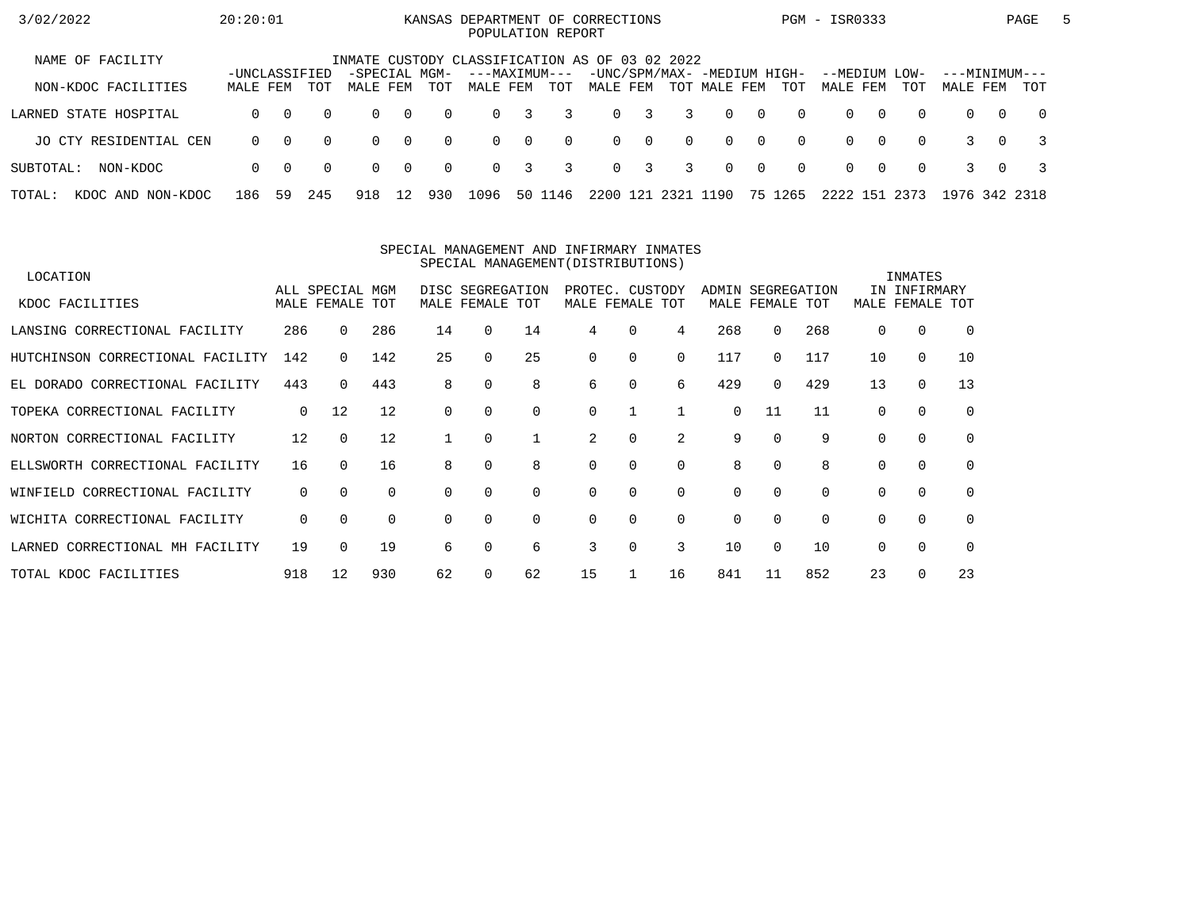| 3/02/2022                   | 20:20:01      |          |          |                                                |                |          | KANSAS DEPARTMENT OF CORRECTIONS<br>POPULATION REPORT |                |          |          |              |                |                                             |                |          | PGM - ISR0333             |          |          |                           |          | PAGE           | $\mathbf{b}$ |
|-----------------------------|---------------|----------|----------|------------------------------------------------|----------------|----------|-------------------------------------------------------|----------------|----------|----------|--------------|----------------|---------------------------------------------|----------------|----------|---------------------------|----------|----------|---------------------------|----------|----------------|--------------|
| NAME OF FACILITY            | -UNCLASSIFIED |          |          | INMATE CUSTODY CLASSIFICATION AS OF 03 02 2022 |                |          |                                                       |                |          |          |              |                |                                             |                |          |                           |          |          |                           |          |                |              |
| NON-KDOC FACILITIES         | MALE FEM      |          | TOT      | -SPECIAL MGM-<br>MALE FEM                      |                | TOT      | ---MAXIMUM---<br>MALE FEM                             |                | TOT      | MALE FEM |              |                | -UNC/SPM/MAX- -MEDIUM HIGH-<br>TOT MALE FEM |                | TOT      | --MEDIUM LOW-<br>MALE FEM |          | TOT      | ---MINIMUM---<br>MALE FEM |          | TOT            |              |
| LARNED STATE HOSPITAL       | $\Omega$      | $\Omega$ | $\Omega$ | $\Omega$                                       | $\overline{0}$ | $\Omega$ | $\Omega$                                              | 3              | 3        |          | $0 \quad 3$  | $\overline{3}$ | $\Omega$                                    | $\overline{0}$ | $\Omega$ | $\Omega$                  | $\Omega$ | $\Omega$ | $\Omega$                  | $\Omega$ | $\overline{0}$ |              |
| JO CTY RESIDENTIAL CEN      | $\Omega$      | $\Omega$ | $\Omega$ | $\Omega$                                       | $\overline{0}$ | $\Omega$ | $\Omega$                                              | $\overline{0}$ | $\Omega$ |          | $0 \qquad 0$ | $\Omega$       | $\Omega$                                    | $\bigcap$      | $\Omega$ | $\Omega$                  | $\Omega$ | $\Omega$ |                           | $\Omega$ |                |              |
| SUBTOTAL:<br>NON-KDOC       | $\Omega$      | $\Omega$ | $\Omega$ | $\Omega$                                       | $\overline{0}$ | $\Omega$ | $\Omega$                                              | 3              | 3        |          | $0 \quad 3$  | $\overline{3}$ | $\Omega$                                    | $\overline{0}$ | $\Omega$ | $\Omega$                  | $\Omega$ | $\Omega$ |                           | $\Omega$ |                |              |
| TOTAL:<br>KDOC AND NON-KDOC | 186           | 59       | 245      | 918                                            | 12             | 930      | 1096                                                  |                | 50 1146  | 2200     | 121          | 2321           | 1190                                        |                | 75 1265  | 2222 151                  |          | 2373     | 1976 342 2318             |          |                |              |

#### SPECIAL MANAGEMENT AND INFIRMARY INMATESSPECIAL MANAGEMENT(DISTRIBUTIONS)

| LOCATION                         |          |                 |          |    |                  |          |                 |          |          |          |                   |     |          | INMATES      |             |
|----------------------------------|----------|-----------------|----------|----|------------------|----------|-----------------|----------|----------|----------|-------------------|-----|----------|--------------|-------------|
|                                  |          | ALL SPECIAL MGM |          |    | DISC SEGREGATION |          | PROTEC.         | CUSTODY  |          |          | ADMIN SEGREGATION |     |          | IN INFIRMARY |             |
| KDOC FACILITIES                  |          | MALE FEMALE     | TOT      |    | MALE FEMALE TOT  |          | MALE FEMALE TOT |          |          |          | MALE FEMALE TOT   |     | MALE     | FEMALE TOT   |             |
| LANSING CORRECTIONAL FACILITY    | 286      | $\Omega$        | 286      | 14 | $\Omega$         | 14       | 4               | $\Omega$ | 4        | 268      | 0                 | 268 | 0        | $\Omega$     | $\Omega$    |
| HUTCHINSON CORRECTIONAL FACILITY | 142      | $\Omega$        | 142      | 25 | $\Omega$         | 25       | 0               | $\Omega$ | $\Omega$ | 117      | 0                 | 117 | 10       | $\mathbf 0$  | 10          |
| EL DORADO CORRECTIONAL FACILITY  | 443      | $\Omega$        | 443      | 8  | 0                | 8        | 6               | 0        | 6        | 429      | $\Omega$          | 429 | 13       | $\mathbf 0$  | 13          |
| TOPEKA CORRECTIONAL FACILITY     | 0        | 12              | 12       |    | $\Omega$         | $\Omega$ | 0               |          |          | $\Omega$ | 11                | 11  | $\Omega$ | $\Omega$     | 0           |
| NORTON CORRECTIONAL FACILITY     | 12       | $\Omega$        | 12       |    | $\Omega$         |          | 2               | 0        | 2        | 9        | $\Omega$          | 9   | 0        | $\Omega$     | $\Omega$    |
| ELLSWORTH CORRECTIONAL FACILITY  | 16       | $\Omega$        | 16       | 8  | $\Omega$         | 8        | $\Omega$        | $\Omega$ | $\Omega$ | 8        | 0                 | 8   | 0        | $\Omega$     | $\mathbf 0$ |
| WINFIELD CORRECTIONAL FACILITY   | 0        | $\Omega$        | $\Omega$ | 0  | $\Omega$         | $\Omega$ | $\Omega$        | 0        | $\Omega$ | 0        | $\Omega$          |     | 0        | 0            | 0           |
| WICHITA CORRECTIONAL FACILITY    | $\Omega$ | $\Omega$        | $\Omega$ | 0  | $\Omega$         | $\Omega$ | 0               | $\Omega$ | $\Omega$ | $\Omega$ | $\Omega$          |     | 0        | $\Omega$     | 0           |
| LARNED CORRECTIONAL MH FACILITY  | 19       |                 | 19       | 6  | $\Omega$         | 6        | 3               | $\Omega$ | 3        | 10       | 0                 | 10  | $\Omega$ | $\Omega$     | $\Omega$    |
| TOTAL KDOC FACILITIES            | 918      | 12              | 930      | 62 | 0                | 62       | 15              |          | 16       | 841      | 11                | 852 | 23       | $\Omega$     | 23          |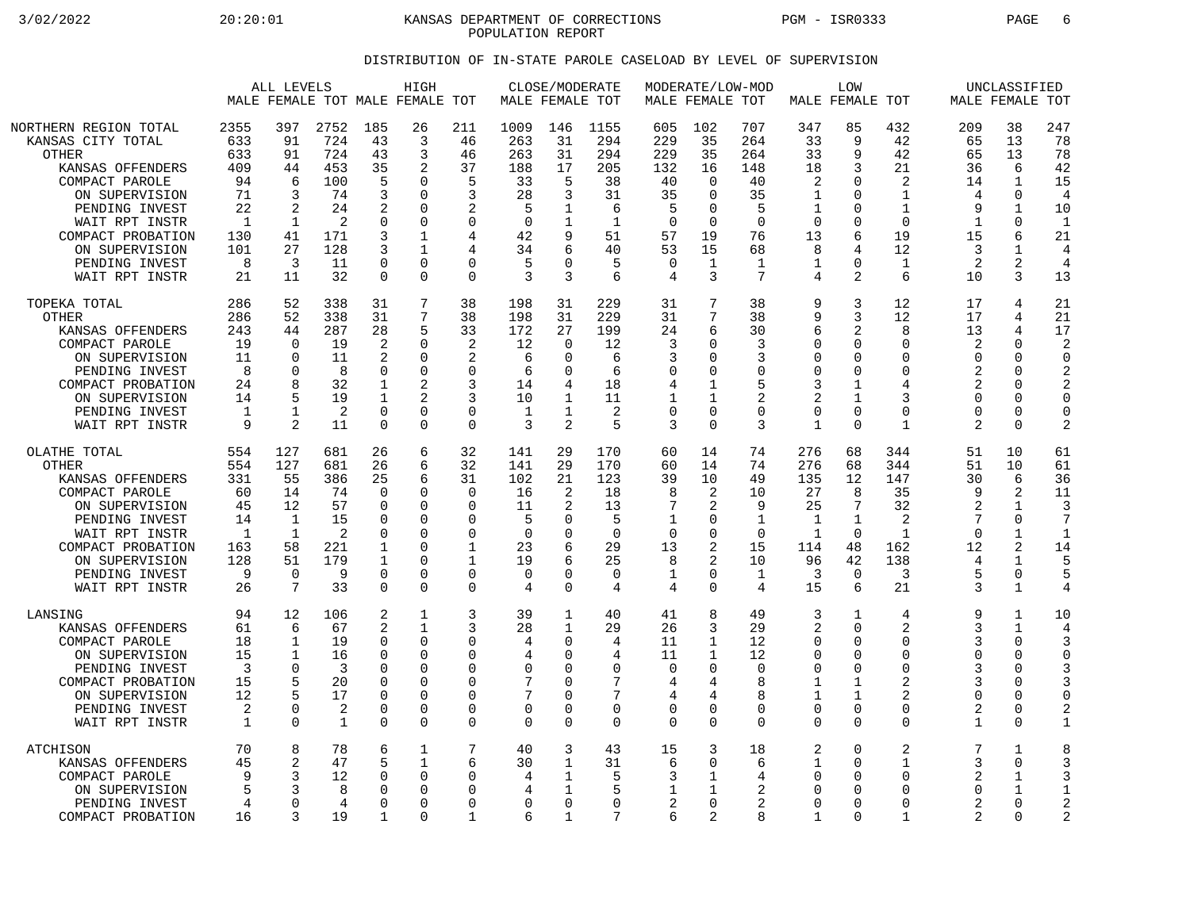3/02/2022 20:20:01 KANSAS DEPARTMENT OF CORRECTIONS PGM - ISR0333 PAGE 6 POPULATION REPORT

## DISTRIBUTION OF IN-STATE PAROLE CASELOAD BY LEVEL OF SUPERVISION

|                                                                                                                                                                                                                                   | ALL LEVELS<br>HIGH<br>MALE FEMALE TOT MALE FEMALE TOT                                  |                                                                                |                                                                             |                                                                                                        |                                                                                                                    | MALE FEMALE TOT                                                                                     | CLOSE/MODERATE                                                               |                                                                                             | MALE FEMALE TOT                                                       |                                                                                       | MODERATE/LOW-MOD                                                                                          | MALE FEMALE TOT                                                             | <b>LOW</b>                                                                                    |                                                                                                        |                                                                                                                     | UNCLASSIFIED<br>MALE FEMALE TOT                                                                  |                                                                                                                            |                                                                                           |
|-----------------------------------------------------------------------------------------------------------------------------------------------------------------------------------------------------------------------------------|----------------------------------------------------------------------------------------|--------------------------------------------------------------------------------|-----------------------------------------------------------------------------|--------------------------------------------------------------------------------------------------------|--------------------------------------------------------------------------------------------------------------------|-----------------------------------------------------------------------------------------------------|------------------------------------------------------------------------------|---------------------------------------------------------------------------------------------|-----------------------------------------------------------------------|---------------------------------------------------------------------------------------|-----------------------------------------------------------------------------------------------------------|-----------------------------------------------------------------------------|-----------------------------------------------------------------------------------------------|--------------------------------------------------------------------------------------------------------|---------------------------------------------------------------------------------------------------------------------|--------------------------------------------------------------------------------------------------|----------------------------------------------------------------------------------------------------------------------------|-------------------------------------------------------------------------------------------|
| NORTHERN REGION TOTAL<br>KANSAS CITY TOTAL<br><b>OTHER</b><br>KANSAS OFFENDERS<br>COMPACT PAROLE<br>ON SUPERVISION<br>PENDING INVEST<br>WAIT RPT INSTR<br>COMPACT PROBATION<br>ON SUPERVISION<br>PENDING INVEST<br>WAIT RPT INSTR | 2355<br>633<br>633<br>409<br>94<br>71<br>22<br>$\overline{1}$<br>130<br>101<br>8<br>21 | 397<br>91<br>91<br>44<br>6<br>3<br>$\overline{2}$<br>1<br>41<br>27<br>3<br>11  | 2752<br>724<br>724<br>453<br>100<br>74<br>24<br>2<br>171<br>128<br>11<br>32 | 185<br>43<br>43<br>35<br>5<br>3<br>2<br>$\Omega$<br>3<br>3<br>0<br>$\Omega$                            | 26<br>3<br>3<br>2<br>$\Omega$<br>$\Omega$<br>0<br>$\Omega$<br>$\mathbf{1}$<br>$\mathbf{1}$<br>$\Omega$<br>$\Omega$ | 211<br>46<br>46<br>37<br>5<br>3<br>2<br>$\Omega$<br>4<br>4<br>$\mathbf 0$<br>$\Omega$               | 1009<br>263<br>263<br>188<br>33<br>28<br>5<br>$\Omega$<br>42<br>34<br>5<br>3 | 146<br>31<br>31<br>17<br>5<br>3<br>1<br>1<br>9<br>6<br>$\Omega$<br>3                        | 1155<br>294<br>294<br>205<br>38<br>31<br>6<br>1<br>51<br>40<br>5<br>6 | 605<br>229<br>229<br>132<br>40<br>35<br>5<br>$\Omega$<br>57<br>53<br>$\mathbf 0$<br>4 | 102<br>35<br>35<br>16<br>$\mathbf 0$<br>$\Omega$<br>$\Omega$<br>$\Omega$<br>19<br>15<br>$\mathbf{1}$<br>3 | 707<br>264<br>264<br>148<br>40<br>35<br>5<br>$\Omega$<br>76<br>68<br>1<br>7 | 347<br>33<br>33<br>18<br>2<br>1<br>1<br>$\Omega$<br>13<br>8<br>1<br>4                         | 85<br>9<br>9<br>3<br>$\Omega$<br>$\Omega$<br>0<br>$\Omega$<br>6<br>4<br>$\mathbf 0$<br>2               | 432<br>42<br>42<br>21<br>$\overline{c}$<br>$\mathbf{1}$<br>$\mathbf{1}$<br>$\Omega$<br>19<br>12<br>$\mathbf 1$<br>6 | 209<br>65<br>65<br>36<br>14<br>$\overline{4}$<br>9<br>$\mathbf{1}$<br>15<br>3<br>2<br>10         | 38<br>13<br>13<br>6<br>$\mathbf{1}$<br>$\Omega$<br>$\mathbf{1}$<br>$\Omega$<br>6<br>1<br>2<br>3                            | 247<br>78<br>78<br>42<br>15<br>4<br>10<br>$\mathbf{1}$<br>21<br>4<br>$\overline{4}$<br>13 |
| TOPEKA TOTAL<br>OTHER<br>KANSAS OFFENDERS<br>COMPACT PAROLE<br>ON SUPERVISION<br>PENDING INVEST<br>COMPACT PROBATION<br>ON SUPERVISION<br>PENDING INVEST<br>WAIT RPT INSTR                                                        | 286<br>286<br>243<br>19<br>11<br>8<br>24<br>14<br>1<br>9                               | 52<br>52<br>44<br>$\Omega$<br>$\Omega$<br>0<br>8<br>5<br>1<br>2                | 338<br>338<br>287<br>19<br>11<br>8<br>32<br>19<br>2<br>11                   | 31<br>31<br>28<br>$\overline{2}$<br>2<br>$\mathbf 0$<br>1<br>$\mathbf 1$<br>$\mathbf 0$<br>$\mathbf 0$ | 7<br>7<br>5<br>$\Omega$<br>$\Omega$<br>$\Omega$<br>2<br>$\Omega$<br>$\Omega$                                       | 38<br>38<br>33<br>2<br>2<br>$\Omega$<br>3<br>3<br>$\mathbf 0$<br>$\Omega$                           | 198<br>198<br>172<br>12<br>6<br>6<br>14<br>10<br>$\mathbf{1}$<br>3           | 31<br>31<br>27<br>$\Omega$<br><sup>0</sup><br>0<br>4<br>1<br>1<br>$\overline{2}$            | 229<br>229<br>199<br>12<br>6<br>6<br>18<br>11<br>2<br>5               | 31<br>31<br>24<br>3<br>3<br>0<br>4<br>1<br>$\mathbf 0$<br>3                           | 7<br>7<br>6<br>$\Omega$<br>$\Omega$<br>0<br>1<br>$\mathbf{1}$<br>0<br>$\Omega$                            | 38<br>38<br>30<br>3<br>3<br>$\mathbf 0$<br>5<br>2<br>$\Omega$<br>3          | 9<br>9<br>6<br>$\mathbf 0$<br>$\Omega$<br>$\mathbf 0$<br>3<br>2<br>$\mathbf 0$<br>$\mathbf 1$ | 3<br>3<br>2<br>$\mathbf 0$<br>$\Omega$<br>0<br>$\mathbf{1}$<br>$\mathbf{1}$<br>$\mathbf 0$<br>$\Omega$ | 12<br>12<br>8<br>$\Omega$<br>$\Omega$<br>$\Omega$<br>4<br>3<br>$\Omega$<br>$\mathbf 1$                              | 17<br>17<br>13<br>$\overline{2}$<br>$\Omega$<br>2<br>2<br>$\Omega$<br>$\Omega$<br>$\overline{c}$ | 4<br>4<br>4<br>$\Omega$<br>0<br>0<br>O<br>0<br>0<br>0                                                                      | 21<br>21<br>17<br>$\overline{a}$<br>$\Omega$<br>2<br>2<br>$\Omega$<br>$\mathbf 0$<br>2    |
| OLATHE TOTAL<br><b>OTHER</b><br>KANSAS OFFENDERS<br>COMPACT PAROLE<br>ON SUPERVISION<br>PENDING INVEST<br>WAIT RPT INSTR<br>COMPACT PROBATION<br>ON SUPERVISION<br>PENDING INVEST<br>WAIT RPT INSTR                               | 554<br>554<br>331<br>60<br>45<br>14<br>$\mathbf{1}$<br>163<br>128<br>9<br>26           | 127<br>127<br>55<br>14<br>12<br>1<br>$\mathbf{1}$<br>58<br>51<br>$\Omega$<br>7 | 681<br>681<br>386<br>74<br>57<br>15<br>2<br>221<br>179<br>9<br>33           | 26<br>26<br>25<br>$\Omega$<br>0<br>O<br>∩<br>1<br>1<br>$\Omega$<br>$\mathbf 0$                         | 6<br>6<br>6<br>$\Omega$<br>0<br>$\Omega$<br>$\cap$<br>0<br>$\Omega$<br>$\Omega$<br>$\Omega$                        | 32<br>32<br>31<br>$\Omega$<br>$\Omega$<br>$\Omega$<br>$\Omega$<br>1<br>1<br>$\Omega$<br>$\mathbf 0$ | 141<br>141<br>102<br>16<br>11<br>5<br>$\mathbf 0$<br>23<br>19<br>0<br>4      | 29<br>29<br>21<br>$\overline{2}$<br>2<br>$\Omega$<br>$\Omega$<br>6<br>6<br>0<br>$\mathbf 0$ | 170<br>170<br>123<br>18<br>13<br>5<br>$\Omega$<br>29<br>25<br>0<br>4  | 60<br>60<br>39<br>8<br>7<br>$\mathbf{1}$<br>$\Omega$<br>13<br>8<br>1<br>4             | 14<br>14<br>10<br>2<br>2<br>0<br>0<br>2<br>2<br>0<br>0                                                    | 74<br>74<br>49<br>10<br>9<br>1<br>$\Omega$<br>15<br>10<br>1<br>4            | 276<br>276<br>135<br>27<br>25<br>1<br>1<br>114<br>96<br>3<br>15                               | 68<br>68<br>12<br>8<br>7<br>$\mathbf{1}$<br>$\Omega$<br>48<br>42<br>$\Omega$<br>6                      | 344<br>344<br>147<br>35<br>32<br>$\overline{c}$<br>1<br>162<br>138<br>3<br>21                                       | 51<br>51<br>30<br>9<br>7<br>$\Omega$<br>12<br>4<br>5<br>3                                        | 10<br>10<br>6<br>$\overline{2}$<br>$\mathbf{1}$<br>0<br>$\mathbf 1$<br>$\overline{a}$<br>$\mathbf{1}$<br>0<br>$\mathbf{1}$ | 61<br>61<br>36<br>11<br>3<br>7<br>$\mathbf 1$<br>14<br>5<br>5<br>4                        |
| LANSING<br>KANSAS OFFENDERS<br>COMPACT PAROLE<br>ON SUPERVISION<br>PENDING INVEST<br>COMPACT PROBATION<br>ON SUPERVISION<br>PENDING INVEST<br>WAIT RPT INSTR                                                                      | 94<br>61<br>18<br>15<br>3<br>15<br>12<br>2<br>1                                        | 12<br>6<br>1<br>1<br>$\Omega$<br>5<br>5<br>$\mathbf 0$<br>$\mathbf 0$          | 106<br>67<br>19<br>16<br>3<br>20<br>17<br>2<br>1                            | 2<br>2<br>$\Omega$<br>$\Omega$<br>$\Omega$<br>0<br>$\Omega$<br>$\mathbf 0$<br>$\mathbf 0$              | $\mathbf{1}$<br>$\mathbf{1}$<br>$\Omega$<br>0<br>$\Omega$<br>$\Omega$<br>$\Omega$<br>$\mathbf 0$<br>$\Omega$       | 3<br>3<br>0<br>$\Omega$<br>$\Omega$<br>$\Omega$<br>$\Omega$<br>$\Omega$<br>$\mathbf 0$              | 39<br>28<br>4<br>4<br>0<br>7<br>7<br>$\mathbf 0$<br>$\mathbf 0$              | 1<br>1<br>0<br>O<br>$\Omega$<br>O<br>$\Omega$<br>$\mathbf 0$<br>$\Omega$                    | 40<br>29<br>4<br>4<br>0<br>7<br>7<br>0<br>$\Omega$                    | 41<br>26<br>11<br>11<br>$\mathbf 0$<br>4<br>4<br>$\mathbf 0$<br>$\mathbf 0$           | 8<br>3<br>1<br>$\mathbf{1}$<br>0<br>4<br>4<br>0<br>0                                                      | 49<br>29<br>12<br>12<br>0<br>8<br>8<br>$\mathbf 0$<br>$\mathbf 0$           | 3<br>2<br>0<br>$\Omega$<br>$\mathbf 0$<br>1<br>1<br>$\Omega$<br>$\Omega$                      | 1<br>0<br>0<br>$\Omega$<br>0<br>1<br>$\mathbf{1}$<br>$\mathbf 0$<br>$\Omega$                           | 4<br>$\overline{c}$<br>$\Omega$<br>$\Omega$<br>$\Omega$<br>$\overline{2}$<br>$\mathcal{D}$<br>$\Omega$<br>$\Omega$  | 9<br>3<br>3<br>$\Omega$<br>3<br>3<br>$\Omega$<br>$\overline{2}$<br>$\mathbf 1$                   | 1<br>$\mathbf{1}$<br>0<br>0<br>0<br>0<br>0<br>0<br>0                                                                       | 10<br>4<br>3<br>$\Omega$<br>3<br>3<br>0<br>2<br>1                                         |
| ATCHISON<br>KANSAS OFFENDERS<br>COMPACT PAROLE<br>ON SUPERVISION<br>PENDING INVEST<br>COMPACT PROBATION                                                                                                                           | 70<br>45<br>q<br>5<br>4<br>16                                                          | 8<br>$\overline{2}$<br>3<br>3<br>$\Omega$<br>3                                 | 78<br>47<br>12<br>8<br>4<br>19                                              | 6<br>5<br>$\Omega$<br>O<br>$\Omega$<br>1                                                               | $\mathbf{1}$<br>$\mathbf{1}$<br>$\Omega$<br><sup>0</sup><br>$\Omega$<br>0                                          | 7<br>6<br>$\Omega$<br>$\Omega$<br>$\Omega$<br>$\mathbf{1}$                                          | 40<br>30<br>4<br>4<br>0<br>6                                                 | 3<br>1<br>1<br>1<br>$\Omega$<br>$\mathbf{1}$                                                | 43<br>31<br>5<br>5<br>$\Omega$<br>7                                   | 15<br>6<br>3<br>1<br>2<br>6                                                           | 3<br>0<br>1<br>$\mathbf{1}$<br>$\Omega$<br>$\overline{2}$                                                 | 18<br>6<br>4<br>2<br>2<br>8                                                 | 2<br>1<br>$\Omega$<br>$\Omega$<br>$\Omega$<br>1                                               | $\Omega$<br>$\mathbf 0$<br>$\Omega$<br>$\Omega$<br>$\Omega$<br>$\Omega$                                | $\overline{c}$<br>$\mathbf{1}$<br>$\Omega$<br>$\Omega$<br>$\Omega$<br>$\mathbf{1}$                                  | 7<br>3<br>2<br>$\Omega$<br>2<br>$\overline{2}$                                                   | $\mathbf{1}$<br>0<br>1<br>$\mathbf{1}$<br>$\Omega$<br>$\Omega$                                                             | 8<br>3<br>3<br>2<br>2                                                                     |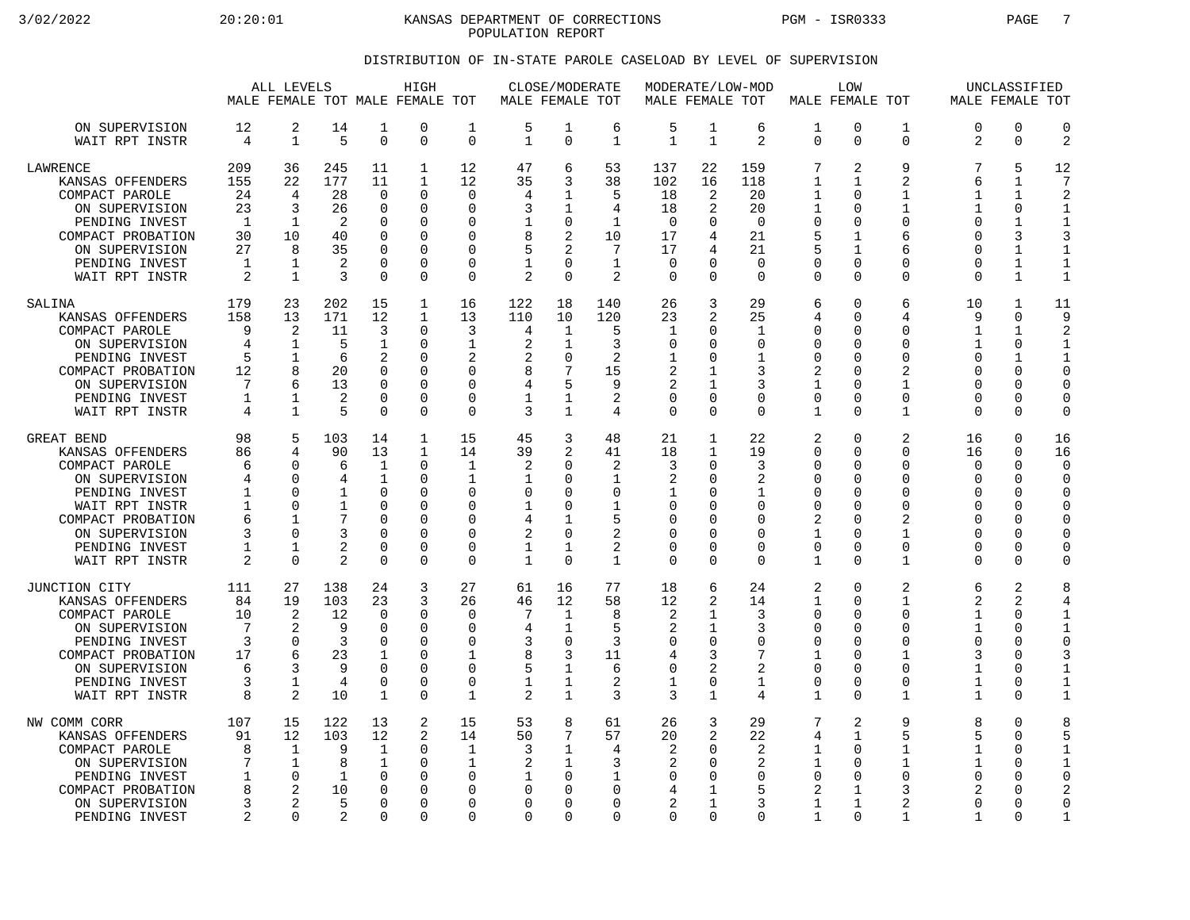3/02/2022 20:20:01 KANSAS DEPARTMENT OF CORRECTIONS PGM - ISR0333 PAGE 7 POPULATION REPORT

## DISTRIBUTION OF IN-STATE PAROLE CASELOAD BY LEVEL OF SUPERVISION

|                                                                                                                                                                      |                                                                 | ALL LEVELS                                                         |                                                                |                                                                                             | HIGH<br>MALE FEMALE TOT MALE FEMALE TOT                          |                                                                                | MALE FEMALE TOT                                     | CLOSE/MODERATE                                                              |                                                                                |                                                                              | MODERATE/LOW-MOD<br>MALE FEMALE TOT                       |                                                                 |                                                                  | LOW<br>MALE FEMALE TOT                                                          |                                                                                        |                                                                       | UNCLASSIFIED<br>MALE FEMALE TOT                                                      |                                                                                           |
|----------------------------------------------------------------------------------------------------------------------------------------------------------------------|-----------------------------------------------------------------|--------------------------------------------------------------------|----------------------------------------------------------------|---------------------------------------------------------------------------------------------|------------------------------------------------------------------|--------------------------------------------------------------------------------|-----------------------------------------------------|-----------------------------------------------------------------------------|--------------------------------------------------------------------------------|------------------------------------------------------------------------------|-----------------------------------------------------------|-----------------------------------------------------------------|------------------------------------------------------------------|---------------------------------------------------------------------------------|----------------------------------------------------------------------------------------|-----------------------------------------------------------------------|--------------------------------------------------------------------------------------|-------------------------------------------------------------------------------------------|
| ON SUPERVISION                                                                                                                                                       | 12                                                              | 2                                                                  | 14                                                             | 1                                                                                           | 0                                                                | 1                                                                              | 5                                                   | 1                                                                           | 6                                                                              | 5                                                                            | 1                                                         | 6                                                               | 1                                                                | $\mathbf 0$                                                                     | 1                                                                                      | $\Omega$                                                              | $\Omega$                                                                             | $\Omega$                                                                                  |
| WAIT RPT INSTR                                                                                                                                                       | 4                                                               | $\mathbf{1}$                                                       | 5                                                              | $\overline{0}$                                                                              | 0                                                                | $\mathbf 0$                                                                    | $\mathbf{1}$                                        | $\mathbf 0$                                                                 | $\mathbf 1$                                                                    | $\mathbf{1}$                                                                 | $\mathbf{1}$                                              | 2                                                               | $\Omega$                                                         | $\Omega$                                                                        | $\mathbf 0$                                                                            | 2                                                                     | $\mathbf 0$                                                                          | $\overline{2}$                                                                            |
| <b>LAWRENCE</b><br>KANSAS OFFENDERS<br>COMPACT PAROLE<br>ON SUPERVISION<br>PENDING INVEST<br>COMPACT PROBATION<br>ON SUPERVISION<br>PENDING INVEST<br>WAIT RPT INSTR | 209<br>155<br>24<br>23<br>-1<br>30<br>27<br>1<br>$\overline{2}$ | 36<br>22<br>4<br>3<br>$\mathbf{1}$<br>10<br>8<br>1<br>$\mathbf{1}$ | 245<br>177<br>28<br>26<br>2<br>40<br>35<br>$\mathfrak{D}$<br>3 | 11<br>11<br>$\Omega$<br>$\mathbf 0$<br>$\Omega$<br>$\Omega$<br>0<br>$\mathbf 0$<br>$\Omega$ | 1<br>1<br>0<br>0<br>0<br>$\Omega$<br>0<br>0<br>$\Omega$          | 12<br>12<br>$\Omega$<br>$\Omega$<br>∩<br>$\Omega$<br>O<br>$\Omega$<br>$\Omega$ | 47<br>35<br>4<br>3<br>8<br>5<br>$\overline{2}$      | 6<br>3<br>1<br>1<br>0<br>2<br>2<br>$\Omega$<br>$\Omega$                     | 53<br>38<br>5<br>4<br>$\mathbf{1}$<br>10<br>7<br>$\mathbf 1$<br>$\overline{a}$ | 137<br>102<br>18<br>18<br>$\mathbf 0$<br>17<br>17<br>$\mathbf 0$<br>$\Omega$ | 22<br>16<br>2<br>2<br>$\Omega$<br>4<br>4<br>U<br>$\Omega$ | 159<br>118<br>20<br>20<br>$\Omega$<br>21<br>21<br>0<br>$\Omega$ | 7<br>1<br>1<br>1<br>$\Omega$<br>5<br>5<br>0<br>$\Omega$          | 2<br>1<br>$\Omega$<br>O<br>$\Omega$<br>$\mathbf 1$<br>1<br>0<br>$\Omega$        | 9<br>$\overline{a}$<br>$\mathbf{1}$<br>1<br>$\Omega$<br>6<br>6<br>$\Omega$<br>$\Omega$ | 7<br>6<br>1<br>1<br>∩<br>$\Omega$<br>$\Omega$<br>$\Omega$<br>$\Omega$ | 5<br>1<br>$\mathbf{1}$<br>$\mathbf 0$<br>1<br>3<br>1<br>$\mathbf{1}$<br>$\mathbf{1}$ | 12<br>7<br>$\mathfrak{D}$<br>1<br>$\mathbf{1}$<br>3<br>1<br>$\mathbf 1$<br>$\overline{1}$ |
| SALINA                                                                                                                                                               | 179                                                             | 23                                                                 | 202                                                            | 15                                                                                          | 1                                                                | 16                                                                             | 122                                                 | 18                                                                          | 140                                                                            | 26                                                                           | 3                                                         | 29                                                              | 6                                                                | $\Omega$                                                                        | 6                                                                                      | 10                                                                    | 1                                                                                    | 11                                                                                        |
| KANSAS OFFENDERS                                                                                                                                                     | 158                                                             | 13                                                                 | 171                                                            | 12                                                                                          | 1                                                                | 13                                                                             | 110                                                 | 10                                                                          | 120                                                                            | 23                                                                           | 2                                                         | 25                                                              | 4                                                                | ∩                                                                               | 4                                                                                      | 9                                                                     | $\Omega$                                                                             | 9                                                                                         |
| COMPACT PAROLE                                                                                                                                                       | 9                                                               | 2                                                                  | 11                                                             | 3                                                                                           | 0                                                                | 3                                                                              | 4                                                   | 1                                                                           | 5                                                                              | 1                                                                            | 0                                                         | 1                                                               | 0                                                                | $\Omega$                                                                        | 0                                                                                      | $\mathbf{1}$                                                          | $\mathbf{1}$                                                                         | 2                                                                                         |
| ON SUPERVISION                                                                                                                                                       | 4                                                               | $\mathbf{1}$                                                       | 5                                                              | 1                                                                                           | 0                                                                | 1                                                                              | $\overline{2}$                                      | 1                                                                           | 3                                                                              | 0                                                                            | O                                                         | $\Omega$                                                        | $\Omega$                                                         | $\Omega$                                                                        | $\Omega$                                                                               | 1                                                                     | $\Omega$                                                                             | $\mathbf{1}$                                                                              |
| PENDING INVEST                                                                                                                                                       | 5                                                               | $\mathbf{1}$                                                       | 6                                                              | $\overline{2}$                                                                              | 0                                                                | 2                                                                              | 2                                                   | $\mathbf 0$                                                                 | $\overline{c}$                                                                 | 1                                                                            | U                                                         | 1                                                               | $\Omega$                                                         | $\Omega$                                                                        | 0                                                                                      | $\Omega$                                                              | 1                                                                                    | 1                                                                                         |
| COMPACT PROBATION                                                                                                                                                    | 12                                                              | 8                                                                  | 20                                                             | $\mathbf 0$                                                                                 | $\Omega$                                                         | $\Omega$                                                                       | 8                                                   | 7                                                                           | 15                                                                             | 2                                                                            | 1                                                         | 3                                                               | 2                                                                | $\Omega$                                                                        | $\overline{2}$                                                                         | $\Omega$                                                              | 0                                                                                    | $\mathbf 0$                                                                               |
| ON SUPERVISION                                                                                                                                                       | 7                                                               | 6                                                                  | 13                                                             | $\Omega$                                                                                    | 0                                                                | $\Omega$                                                                       | 4                                                   | 5                                                                           | 9                                                                              | 2                                                                            | 1                                                         | 3                                                               | 1                                                                | $\Omega$                                                                        | 1                                                                                      | $\Omega$                                                              | 0                                                                                    | $\Omega$                                                                                  |
| PENDING INVEST                                                                                                                                                       | 1                                                               | 1                                                                  | 2                                                              | $\mathbf 0$                                                                                 | 0                                                                | $\mathbf 0$                                                                    | 1                                                   | $\mathbf{1}$                                                                | 2                                                                              | $\mathbf 0$                                                                  | 0                                                         | 0                                                               | $\mathbf 0$                                                      | 0                                                                               | 0                                                                                      | $\Omega$                                                              | 0                                                                                    | $\Omega$                                                                                  |
| WAIT RPT INSTR                                                                                                                                                       | 4                                                               | $\mathbf{1}$                                                       | 5                                                              | $\Omega$                                                                                    | $\Omega$                                                         | $\Omega$                                                                       | 3                                                   | $\mathbf{1}$                                                                | 4                                                                              | $\Omega$                                                                     | $\Omega$                                                  | $\Omega$                                                        | $\mathbf{1}$                                                     | $\Omega$                                                                        | 1                                                                                      | $\Omega$                                                              | $\Omega$                                                                             | $\Omega$                                                                                  |
| GREAT BEND                                                                                                                                                           | 98                                                              | 5                                                                  | 103                                                            | 14                                                                                          | 1                                                                | 15                                                                             | 45                                                  | 3                                                                           | 48                                                                             | 21                                                                           | $\mathbf{1}$                                              | 22                                                              | 2                                                                | $\Omega$                                                                        | $\overline{2}$                                                                         | 16                                                                    | $\mathbf 0$                                                                          | 16                                                                                        |
| KANSAS OFFENDERS                                                                                                                                                     | 86                                                              | 4                                                                  | 90                                                             | 13                                                                                          | 1                                                                | 14                                                                             | 39                                                  | 2                                                                           | 41                                                                             | 18                                                                           | $\mathbf{1}$                                              | 19                                                              | $\Omega$                                                         | ∩                                                                               | $\Omega$                                                                               | 16                                                                    | $\Omega$                                                                             | 16                                                                                        |
| COMPACT PAROLE                                                                                                                                                       | 6                                                               | $\Omega$                                                           | 6                                                              | $\mathbf 1$                                                                                 | 0                                                                | $\mathbf{1}$                                                                   | 2                                                   | $\Omega$                                                                    | $\overline{c}$                                                                 | 3                                                                            | 0                                                         | 3                                                               | 0                                                                | $\Omega$                                                                        | $\Omega$                                                                               | $\Omega$                                                              | $\mathbf 0$                                                                          | $\mathbf 0$                                                                               |
| ON SUPERVISION                                                                                                                                                       | 4                                                               | $\Omega$                                                           | 4                                                              | $\mathbf{1}$                                                                                | $\Omega$                                                         | 1                                                                              | -1                                                  | $\Omega$                                                                    | 1                                                                              | 2                                                                            | O                                                         | 2                                                               | O                                                                | $\Omega$                                                                        | $\Omega$                                                                               | $\Omega$                                                              | $\Omega$                                                                             | $\Omega$                                                                                  |
| PENDING INVEST                                                                                                                                                       | 1                                                               | $\Omega$                                                           | 1                                                              | 0                                                                                           | 0                                                                | $\Omega$                                                                       | 0                                                   | $\Omega$                                                                    | $\Omega$                                                                       | 1                                                                            | U                                                         | 1                                                               | $\Omega$                                                         | ∩                                                                               | $\Omega$                                                                               | ∩                                                                     | 0                                                                                    | $\mathbf 0$                                                                               |
| WAIT RPT INSTR                                                                                                                                                       | 1                                                               | $\Omega$                                                           | 1                                                              | $\Omega$                                                                                    | $\Omega$                                                         | $\Omega$                                                                       | 1                                                   | 0                                                                           | $\mathbf{1}$                                                                   | $\mathbf 0$                                                                  | O                                                         | $\Omega$                                                        | $\mathbf 0$                                                      | $\Omega$                                                                        | $\Omega$                                                                               | $\Omega$                                                              | 0                                                                                    | $\Omega$                                                                                  |
| COMPACT PROBATION                                                                                                                                                    | 6                                                               | -1                                                                 | 7                                                              | $\Omega$                                                                                    | 0                                                                | O                                                                              | 4                                                   | 1                                                                           | 5                                                                              | 0                                                                            | U                                                         | $\Omega$                                                        | 2                                                                | ∩                                                                               | 2                                                                                      | ∩                                                                     | $\Omega$                                                                             | $\Omega$                                                                                  |
| ON SUPERVISION                                                                                                                                                       | 3                                                               | $\Omega$                                                           | 3                                                              | $\Omega$                                                                                    | $\Omega$                                                         | $\Omega$                                                                       | 2                                                   | $\mathbf 0$                                                                 | 2                                                                              | $\mathbf 0$                                                                  | $\Omega$                                                  | $\Omega$                                                        | $\mathbf 1$                                                      | $\Omega$                                                                        | $\mathbf{1}$                                                                           | $\Omega$                                                              | 0                                                                                    | $\mathbf 0$                                                                               |
| PENDING INVEST                                                                                                                                                       | 1                                                               | 1                                                                  | 2                                                              | $\Omega$                                                                                    | 0                                                                | 0                                                                              | 1                                                   | 1                                                                           | 2                                                                              | 0                                                                            | $\Omega$                                                  | $\Omega$                                                        | $\mathbf 0$                                                      | $\Omega$                                                                        | 0                                                                                      | $\Omega$                                                              | 0                                                                                    | $\Omega$                                                                                  |
| WAIT RPT INSTR                                                                                                                                                       | 2                                                               | $\mathbf 0$                                                        | 2                                                              | $\mathbf 0$                                                                                 | 0                                                                | $\mathbf 0$                                                                    | $\mathbf{1}$                                        | $\Omega$                                                                    | $\mathbf{1}$                                                                   | $\mathbf 0$                                                                  | $\Omega$                                                  | $\Omega$                                                        | 1                                                                | $\Omega$                                                                        | $\mathbf{1}$                                                                           | $\Omega$                                                              | 0                                                                                    | $\Omega$                                                                                  |
| JUNCTION CITY                                                                                                                                                        | 111                                                             | 27                                                                 | 138                                                            | 24                                                                                          | 3                                                                | 27                                                                             | 61                                                  | 16                                                                          | 77                                                                             | 18                                                                           | 6                                                         | 24                                                              | 2                                                                | $\Omega$                                                                        | $\overline{2}$                                                                         | 6                                                                     | 2                                                                                    | 8                                                                                         |
| KANSAS OFFENDERS                                                                                                                                                     | 84                                                              | 19                                                                 | 103                                                            | 23                                                                                          | 3                                                                | 26                                                                             | 46                                                  | 12                                                                          | 58                                                                             | 12                                                                           | 2                                                         | 14                                                              | $\mathbf{1}$                                                     | $\Omega$                                                                        | $\mathbf{1}$                                                                           | $\overline{2}$                                                        | 2                                                                                    | 4                                                                                         |
| COMPACT PAROLE                                                                                                                                                       | 10                                                              | 2                                                                  | 12                                                             | $\Omega$                                                                                    | 0                                                                | $\Omega$                                                                       | 7                                                   | 1                                                                           | 8                                                                              | 2                                                                            | 1                                                         | 3                                                               | $\Omega$                                                         | $\Omega$                                                                        | $\Omega$                                                                               | 1                                                                     | $\Omega$                                                                             | $\mathbf{1}$                                                                              |
| ON SUPERVISION                                                                                                                                                       | 7                                                               | 2                                                                  | 9                                                              | $\mathbf 0$                                                                                 | 0                                                                | $\Omega$                                                                       | 4                                                   | 1                                                                           | 5                                                                              | 2                                                                            | 1                                                         | 3                                                               | 0                                                                | ∩                                                                               | $\Omega$                                                                               | $\mathbf{1}$                                                          | 0                                                                                    | 1                                                                                         |
| PENDING INVEST                                                                                                                                                       | 3                                                               | 0                                                                  | 3                                                              | 0                                                                                           | 0                                                                | $\mathbf 0$                                                                    | 3                                                   | 0                                                                           | 3                                                                              | 0                                                                            | $\Omega$                                                  | 0                                                               | 0                                                                | $\Omega$                                                                        | $\Omega$                                                                               | $\Omega$                                                              | $\Omega$                                                                             | $\Omega$                                                                                  |
| COMPACT PROBATION                                                                                                                                                    | 17                                                              | 6                                                                  | 23                                                             | $\mathbf{1}$                                                                                | $\Omega$                                                         | 1                                                                              | 8                                                   | 3                                                                           | 11                                                                             | 4                                                                            | 3                                                         | 7                                                               | $\mathbf{1}$                                                     | ∩                                                                               | 1                                                                                      | 3                                                                     | $\Omega$                                                                             | 3                                                                                         |
| ON SUPERVISION                                                                                                                                                       | 6                                                               | 3                                                                  | 9                                                              | $\Omega$                                                                                    | 0                                                                | $\Omega$                                                                       | 5                                                   | $\mathbf 1$                                                                 | 6                                                                              | $\mathbf 0$                                                                  | 2                                                         | $\overline{2}$                                                  | 0                                                                | $\Omega$                                                                        | 0                                                                                      | 1                                                                     | 0                                                                                    | 1                                                                                         |
| PENDING INVEST                                                                                                                                                       | 3                                                               | 1                                                                  | 4                                                              | $\mathbf 0$                                                                                 | 0                                                                | $\mathbf 0$                                                                    | 1                                                   | 1                                                                           | 2                                                                              | 1                                                                            | 0                                                         | 1                                                               | $\mathbf 0$                                                      | $\Omega$                                                                        | $\Omega$                                                                               | $\mathbf{1}$                                                          | 0                                                                                    | $\mathbf{1}$                                                                              |
| WAIT RPT INSTR                                                                                                                                                       | 8                                                               | 2                                                                  | 10                                                             | 1                                                                                           | 0                                                                | 1                                                                              | 2                                                   | $\mathbf{1}$                                                                | 3                                                                              | 3                                                                            | $\mathbf{1}$                                              | 4                                                               | $\mathbf{1}$                                                     | $\Omega$                                                                        | $\mathbf{1}$                                                                           | $\mathbf{1}$                                                          | 0                                                                                    | $\mathbf{1}$                                                                              |
| NW COMM CORR<br>KANSAS OFFENDERS<br>COMPACT PAROLE<br>ON SUPERVISION<br>PENDING INVEST<br>COMPACT PROBATION<br>ON SUPERVISION<br>PENDING INVEST                      | 107<br>91<br>8<br>7<br>1<br>8<br>3<br>2                         | 15<br>12<br>1<br>$\mathbf 1$<br>0<br>2<br>2<br>$\Omega$            | 122<br>103<br>9<br>8<br>1<br>10<br>5<br>$\mathfrak{D}$         | 13<br>12<br>$\mathbf{1}$<br>$\mathbf 1$<br>$\Omega$<br>0<br>$\Omega$<br>$\Omega$            | 2<br>2<br>0<br>0<br>$\Omega$<br>$\Omega$<br>$\Omega$<br>$\Omega$ | 15<br>14<br>1<br>1<br>$\Omega$<br>∩<br>$\Omega$<br>$\Omega$                    | 53<br>50<br>3<br>2<br>0<br><sup>0</sup><br>$\Omega$ | 8<br>7<br>1<br>$\mathbf{1}$<br>$\Omega$<br>$\Omega$<br>$\Omega$<br>$\Omega$ | 61<br>57<br>4<br>3<br>1<br>$\Omega$<br>$\Omega$<br>$\Omega$                    | 26<br>20<br>2<br>2<br>0<br>4<br>2<br>$\Omega$                                | 3<br>2<br>O<br>$\Omega$<br>O<br>-1<br>$\Omega$            | 29<br>22<br>2<br>2<br>$\Omega$<br>5<br>3<br>$\Omega$            | 7<br>4<br>1<br>$\mathbf{1}$<br>$\Omega$<br>2<br>$\mathbf 1$<br>1 | 2<br>$\mathbf{1}$<br>$\Omega$<br>$\Omega$<br>$\Omega$<br>1<br>$\mathbf{1}$<br>∩ | 9<br>5<br>1<br>$\mathbf{1}$<br>$\Omega$<br>3<br>$\overline{2}$<br>$\mathbf{1}$         | 8<br>5<br>1<br>$\mathbf{1}$<br>$\Omega$<br>2<br>$\Omega$<br>1         | $\mathbf 0$<br>$\mathbf 0$<br>$\Omega$<br>0<br>0<br>0<br>$\Omega$<br>$\Omega$        | 8<br>5<br>1<br>$\mathbf{1}$<br>$\Omega$<br>2<br>$\Omega$<br>$\mathbf{1}$                  |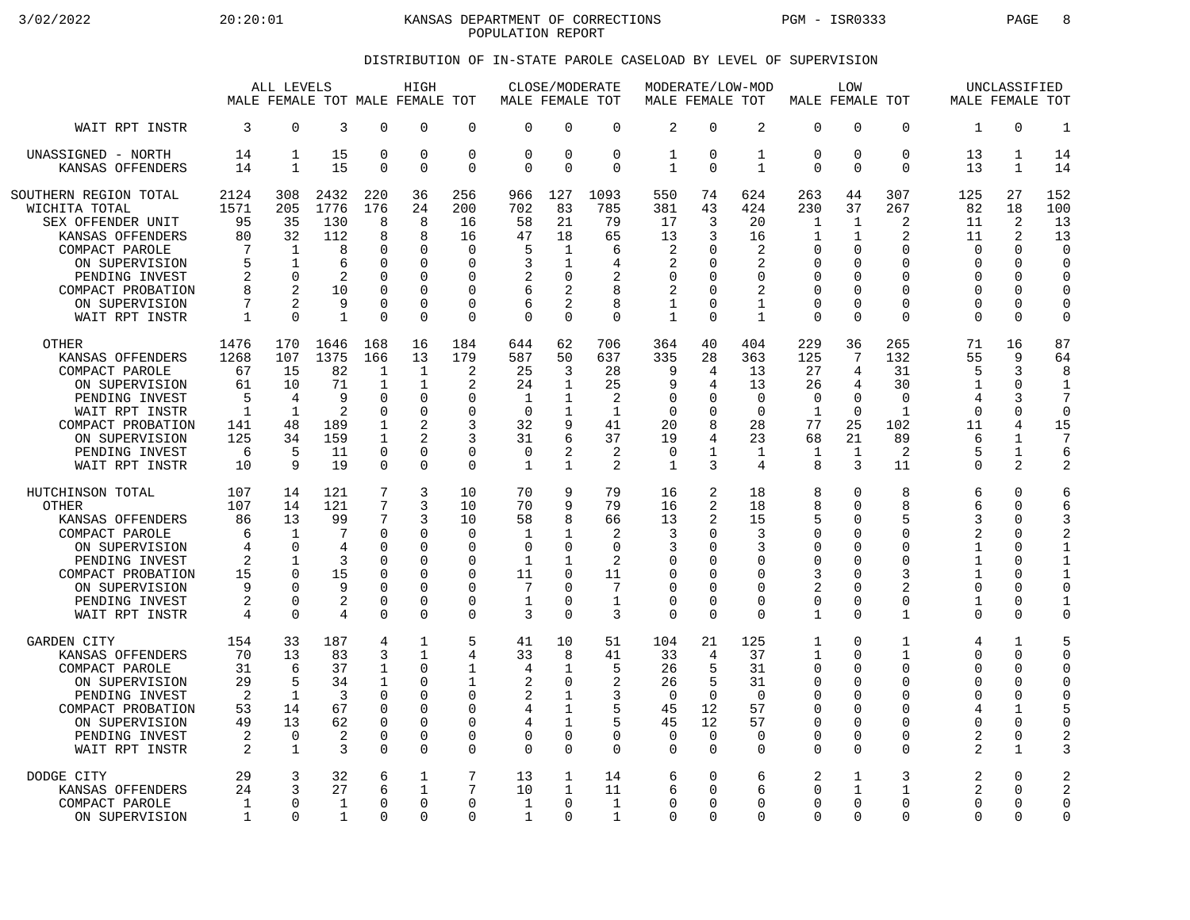3/02/2022 20:20:01 KANSAS DEPARTMENT OF CORRECTIONS PGM - ISR0333 PAGE 8 POPULATION REPORT

## DISTRIBUTION OF IN-STATE PAROLE CASELOAD BY LEVEL OF SUPERVISION

|                                                                                                                                                                                                |                                                                   | ALL LEVELS<br>MALE FEMALE TOT MALE FEMALE TOT                                           |                                                                      |                                                                                       | HIGH                                                                                          |                                                                                                         | MALE FEMALE TOT                                             | CLOSE/MODERATE                                                                              |                                                                           | MALE FEMALE TOT                                                            |                                                    | MODERATE/LOW-MOD                                                                  | MALE FEMALE TOT                                                                            | LOW                                              |                                                                                       | MALE FEMALE TOT                                                                 | UNCLASSIFIED                                                                               |                                                                                                            |
|------------------------------------------------------------------------------------------------------------------------------------------------------------------------------------------------|-------------------------------------------------------------------|-----------------------------------------------------------------------------------------|----------------------------------------------------------------------|---------------------------------------------------------------------------------------|-----------------------------------------------------------------------------------------------|---------------------------------------------------------------------------------------------------------|-------------------------------------------------------------|---------------------------------------------------------------------------------------------|---------------------------------------------------------------------------|----------------------------------------------------------------------------|----------------------------------------------------|-----------------------------------------------------------------------------------|--------------------------------------------------------------------------------------------|--------------------------------------------------|---------------------------------------------------------------------------------------|---------------------------------------------------------------------------------|--------------------------------------------------------------------------------------------|------------------------------------------------------------------------------------------------------------|
| WAIT RPT INSTR                                                                                                                                                                                 | 3                                                                 | $\Omega$                                                                                | 3                                                                    | $\Omega$                                                                              | $\Omega$                                                                                      | $\mathbf 0$                                                                                             | $\Omega$                                                    | $\Omega$                                                                                    | $\Omega$                                                                  | $\overline{2}$                                                             | $\Omega$                                           | 2                                                                                 | $\mathbf 0$                                                                                | 0                                                | $\Omega$                                                                              | $\mathbf{1}$                                                                    | $\Omega$                                                                                   | $\mathbf{1}$                                                                                               |
| UNASSIGNED - NORTH                                                                                                                                                                             | 14                                                                | 1                                                                                       | 15                                                                   | $\mathbf 0$                                                                           | $\mathbf 0$                                                                                   | $\mathbf 0$                                                                                             | $\Omega$                                                    | $\mathbf 0$                                                                                 | $\mathbf 0$                                                               | $\mathbf 1$                                                                | $\Omega$                                           | $\mathbf{1}$                                                                      | $\mathbf 0$                                                                                | 0                                                | $\mathbf 0$                                                                           | 13                                                                              | $\mathbf{1}$                                                                               | 14                                                                                                         |
| KANSAS OFFENDERS                                                                                                                                                                               | 14                                                                | 1                                                                                       | 15                                                                   | $\Omega$                                                                              | $\Omega$                                                                                      | $\mathbf 0$                                                                                             | $\Omega$                                                    | $\Omega$                                                                                    | $\Omega$                                                                  | 1                                                                          | $\Omega$                                           | $\mathbf{1}$                                                                      | $\Omega$                                                                                   | 0                                                | $\Omega$                                                                              | 13                                                                              | 1                                                                                          | 14                                                                                                         |
| SOUTHERN REGION TOTAL<br>WICHITA TOTAL<br>SEX OFFENDER UNIT<br>KANSAS OFFENDERS<br>COMPACT PAROLE<br>ON SUPERVISION<br>PENDING INVEST<br>COMPACT PROBATION<br>ON SUPERVISION<br>WAIT RPT INSTR | 2124<br>1571<br>95<br>80<br>7<br>5<br>2<br>8<br>7<br>$\mathbf{1}$ | 308<br>205<br>35<br>32<br>$\mathbf 1$<br>$\mathbf{1}$<br>$\Omega$<br>2<br>2<br>$\Omega$ | 2432<br>1776<br>130<br>112<br>8<br>6<br>2<br>10<br>9<br>$\mathbf{1}$ | 220<br>176<br>8<br>8<br>0<br>$\Omega$<br>$\Omega$<br>$\Omega$<br>$\Omega$<br>$\Omega$ | 36<br>24<br>8<br>8<br>$\mathbf 0$<br>$\Omega$<br>$\Omega$<br>$\Omega$<br>$\Omega$<br>$\Omega$ | 256<br>200<br>16<br>16<br>$\mathbf 0$<br>$\Omega$<br>$\Omega$<br>$\Omega$<br>$\mathbf 0$<br>$\mathbf 0$ | 966<br>702<br>58<br>47<br>5<br>3<br>2<br>6<br>6<br>$\Omega$ | 127<br>83<br>21<br>18<br>1<br>1<br>$\Omega$<br>$\overline{2}$<br>$\overline{2}$<br>$\Omega$ | 1093<br>785<br>79<br>65<br>6<br>4<br>$\overline{2}$<br>8<br>8<br>$\Omega$ | 550<br>381<br>17<br>13<br>2<br>2<br>0<br>2<br>$\mathbf{1}$<br>$\mathbf{1}$ | 74<br>43<br>3<br>3<br>O<br>∩<br>$\Omega$<br>∩<br>∩ | 624<br>424<br>20<br>16<br>2<br>2<br>$\Omega$<br>2<br>$\mathbf{1}$<br>$\mathbf{1}$ | 263<br>230<br>1<br>1<br>$\mathbf 0$<br>0<br>$\mathbf 0$<br>0<br>$\mathbf 0$<br>$\mathbf 0$ | 44<br>37<br>1<br>1<br>0<br>U<br>O<br>0<br>O<br>0 | 307<br>267<br>2<br>2<br>$\Omega$<br>U<br>$\Omega$<br>$\Omega$<br>$\Omega$<br>$\Omega$ | 125<br>82<br>11<br>11<br>$\Omega$<br>O<br>$\Omega$<br>O<br>$\Omega$<br>$\Omega$ | 27<br>18<br>2<br>2<br>$\Omega$<br>$\Omega$<br>$\Omega$<br>$\Omega$<br>$\Omega$<br>$\Omega$ | 152<br>100<br>13<br>13<br>$\mathbf 0$<br>$\Omega$<br>$\Omega$<br>$\mathbf 0$<br>$\mathbf 0$<br>$\mathbf 0$ |
| <b>OTHER</b>                                                                                                                                                                                   | 1476                                                              | 170                                                                                     | 1646                                                                 | 168                                                                                   | 16                                                                                            | 184                                                                                                     | 644                                                         | 62                                                                                          | 706                                                                       | 364                                                                        | 40                                                 | 404                                                                               | 229                                                                                        | 36                                               | 265                                                                                   | 71                                                                              | 16                                                                                         | 87                                                                                                         |
| KANSAS OFFENDERS                                                                                                                                                                               | 1268                                                              | 107                                                                                     | 1375                                                                 | 166                                                                                   | 13                                                                                            | 179                                                                                                     | 587                                                         | 50                                                                                          | 637                                                                       | 335                                                                        | 28                                                 | 363                                                                               | 125                                                                                        | 7                                                | 132                                                                                   | 55                                                                              | 9                                                                                          | 64                                                                                                         |
| COMPACT PAROLE                                                                                                                                                                                 | 67                                                                | 15                                                                                      | 82                                                                   | 1                                                                                     | $\mathbf{1}$                                                                                  | 2                                                                                                       | 25                                                          | 3                                                                                           | 28                                                                        | 9                                                                          | 4                                                  | 13                                                                                | 27                                                                                         | 4                                                | 31                                                                                    | 5                                                                               | 3                                                                                          | 8                                                                                                          |
| ON SUPERVISION                                                                                                                                                                                 | 61                                                                | 10                                                                                      | 71                                                                   | 1                                                                                     | $\mathbf{1}$                                                                                  | 2                                                                                                       | 24                                                          | 1                                                                                           | 25                                                                        | 9                                                                          | 4                                                  | 13                                                                                | 26                                                                                         | 4                                                | 30                                                                                    | 1                                                                               | $\mathbf 0$                                                                                | $\mathbf{1}$                                                                                               |
| PENDING INVEST                                                                                                                                                                                 | 5                                                                 | 4                                                                                       | 9                                                                    | $\Omega$                                                                              | $\Omega$                                                                                      | $\Omega$                                                                                                | $\mathbf 1$                                                 | $\mathbf 1$                                                                                 | $\overline{2}$                                                            | $\Omega$                                                                   | <sup>0</sup>                                       | $\Omega$                                                                          | $\mathbf 0$                                                                                | 0                                                | $\Omega$                                                                              | $\overline{4}$                                                                  | 3                                                                                          | $\overline{7}$                                                                                             |
| WAIT RPT INSTR                                                                                                                                                                                 | $\mathbf{1}$                                                      | 1                                                                                       | 2                                                                    | $\Omega$                                                                              | $\Omega$                                                                                      | $\Omega$                                                                                                | $\Omega$                                                    | 1                                                                                           | $\mathbf{1}$                                                              | $\Omega$                                                                   | ∩                                                  | $\Omega$                                                                          | $\mathbf{1}$                                                                               | $\Omega$                                         | $\mathbf{1}$                                                                          | $\Omega$                                                                        | $\Omega$                                                                                   | $\Omega$                                                                                                   |
| COMPACT PROBATION                                                                                                                                                                              | 141                                                               | 48                                                                                      | 189                                                                  | $\mathbf{1}$                                                                          | $\overline{a}$                                                                                | 3                                                                                                       | 32                                                          | 9                                                                                           | 41                                                                        | 20                                                                         | 8                                                  | 28                                                                                | 77                                                                                         | 25                                               | 102                                                                                   | 11                                                                              | 4                                                                                          | 15                                                                                                         |
| ON SUPERVISION                                                                                                                                                                                 | 125                                                               | 34                                                                                      | 159                                                                  | 1                                                                                     | $\mathfrak{D}$                                                                                | 3                                                                                                       | 31                                                          | 6                                                                                           | 37                                                                        | 19                                                                         | 4                                                  | 23                                                                                | 68                                                                                         | 21                                               | 89                                                                                    | 6                                                                               | $\mathbf{1}$                                                                               | 7                                                                                                          |
| PENDING INVEST                                                                                                                                                                                 | 6                                                                 | 5                                                                                       | 11                                                                   | $\Omega$                                                                              | $\Omega$                                                                                      | 0                                                                                                       | $\Omega$                                                    | 2                                                                                           | 2                                                                         | 0                                                                          | 1                                                  | 1                                                                                 | 1                                                                                          | 1                                                | 2                                                                                     | 5                                                                               | $\mathbf{1}$                                                                               | 6                                                                                                          |
| WAIT RPT INSTR                                                                                                                                                                                 | 10                                                                | 9                                                                                       | 19                                                                   | $\Omega$                                                                              | $\Omega$                                                                                      | $\Omega$                                                                                                | 1                                                           | $\mathbf{1}$                                                                                | $\mathfrak{D}$                                                            | $\mathbf{1}$                                                               | 3                                                  | 4                                                                                 | 8                                                                                          | 3                                                | 11                                                                                    | $\Omega$                                                                        | 2                                                                                          | $\overline{c}$                                                                                             |
| HUTCHINSON TOTAL                                                                                                                                                                               | 107                                                               | 14                                                                                      | 121                                                                  | 7                                                                                     | 3                                                                                             | 10                                                                                                      | 70                                                          | 9                                                                                           | 79                                                                        | 16                                                                         | 2                                                  | 18                                                                                | 8                                                                                          | 0                                                | 8                                                                                     | 6                                                                               | $\Omega$                                                                                   | 6                                                                                                          |
| <b>OTHER</b>                                                                                                                                                                                   | 107                                                               | 14                                                                                      | 121                                                                  | 7                                                                                     | 3                                                                                             | 10                                                                                                      | 70                                                          | 9                                                                                           | 79                                                                        | 16                                                                         | 2                                                  | 18                                                                                | 8                                                                                          | 0                                                | 8                                                                                     | 6                                                                               | $\Omega$                                                                                   | 6                                                                                                          |
| KANSAS OFFENDERS                                                                                                                                                                               | 86                                                                | 13                                                                                      | 99                                                                   | 7                                                                                     | 3                                                                                             | 10                                                                                                      | 58                                                          | 8                                                                                           | 66                                                                        | 13                                                                         | 2                                                  | 15                                                                                | 5                                                                                          | 0                                                | 5                                                                                     | 3                                                                               | $\Omega$                                                                                   | 3                                                                                                          |
| COMPACT PAROLE                                                                                                                                                                                 | 6                                                                 | $\mathbf 1$                                                                             | 7                                                                    | $\mathbf 0$                                                                           | $\mathbf 0$                                                                                   | $\mathbf 0$                                                                                             | $\mathbf{1}$                                                | 1                                                                                           | 2                                                                         | 3                                                                          | ∩                                                  | 3                                                                                 | $\mathbf 0$                                                                                | 0                                                | $\Omega$                                                                              | 2                                                                               | 0                                                                                          | $\overline{2}$                                                                                             |
| ON SUPERVISION                                                                                                                                                                                 | 4                                                                 | $\Omega$                                                                                | 4                                                                    | $\Omega$                                                                              | $\Omega$                                                                                      | $\Omega$                                                                                                | $\Omega$                                                    | $\Omega$                                                                                    | $\Omega$                                                                  | 3                                                                          | <sup>0</sup>                                       | 3                                                                                 | 0                                                                                          | O                                                | $\Omega$                                                                              | 1                                                                               | $\Omega$                                                                                   | $\mathbf{1}$                                                                                               |
| PENDING INVEST                                                                                                                                                                                 | 2                                                                 | 1                                                                                       | 3                                                                    | 0                                                                                     | $\Omega$                                                                                      | 0                                                                                                       | 1                                                           | 1                                                                                           | 2                                                                         | 0                                                                          | ∩                                                  | 0                                                                                 | $\mathbf 0$                                                                                | 0                                                | $\Omega$                                                                              | 1                                                                               | 0                                                                                          | $\mathbf{1}$                                                                                               |
| COMPACT PROBATION                                                                                                                                                                              | 15                                                                | $\Omega$                                                                                | 15                                                                   | $\Omega$                                                                              | $\Omega$                                                                                      | $\Omega$                                                                                                | 11                                                          | $\Omega$                                                                                    | 11                                                                        | $\Omega$                                                                   | <sup>0</sup>                                       | $\Omega$                                                                          | 3                                                                                          | 0                                                | 3                                                                                     | $\mathbf{1}$                                                                    | $\Omega$                                                                                   | $\mathbf{1}$                                                                                               |
| ON SUPERVISION                                                                                                                                                                                 | 9                                                                 | U                                                                                       | 9                                                                    | $\Omega$                                                                              | $\Omega$                                                                                      | $\Omega$                                                                                                | 7                                                           | $\Omega$                                                                                    | 7                                                                         | $\Omega$                                                                   | ∩                                                  | $\Omega$                                                                          | $\overline{a}$                                                                             | 0                                                | $\overline{2}$                                                                        | $\Omega$                                                                        | $\Omega$                                                                                   | $\Omega$                                                                                                   |
| PENDING INVEST                                                                                                                                                                                 | 2                                                                 | 0                                                                                       | 2                                                                    | $\mathbf 0$                                                                           | $\mathbf 0$                                                                                   | 0                                                                                                       | 1                                                           | $\Omega$                                                                                    | $\mathbf{1}$                                                              | 0                                                                          | $\Omega$                                           | $\mathbf 0$                                                                       | $\mathbf 0$                                                                                | 0                                                | $\mathbf 0$                                                                           | $\mathbf{1}$                                                                    | 0                                                                                          | 1                                                                                                          |
| WAIT RPT INSTR                                                                                                                                                                                 | $\overline{4}$                                                    | $\Omega$                                                                                | 4                                                                    | $\Omega$                                                                              | $\Omega$                                                                                      | $\Omega$                                                                                                | 3                                                           | $\Omega$                                                                                    | 3                                                                         | $\Omega$                                                                   | $\Omega$                                           | $\Omega$                                                                          | $\mathbf{1}$                                                                               | 0                                                | $\mathbf{1}$                                                                          | $\Omega$                                                                        | $\Omega$                                                                                   | $\mathbf 0$                                                                                                |
| <b>GARDEN CITY</b>                                                                                                                                                                             | 154                                                               | 33                                                                                      | 187                                                                  | 4                                                                                     | $\mathbf{1}$                                                                                  | 5                                                                                                       | 41                                                          | 10                                                                                          | 51                                                                        | 104                                                                        | 21                                                 | 125                                                                               | $\mathbf 1$                                                                                | 0                                                | 1                                                                                     | 4                                                                               | $\mathbf{1}$                                                                               | 5                                                                                                          |
| KANSAS OFFENDERS                                                                                                                                                                               | 70                                                                | 13                                                                                      | 83                                                                   | 3                                                                                     | $\mathbf{1}$                                                                                  | 4                                                                                                       | 33                                                          | 8                                                                                           | 41                                                                        | 33                                                                         | 4                                                  | 37                                                                                | 1                                                                                          | 0                                                | 1                                                                                     | 0                                                                               | $\Omega$                                                                                   | $\mathbf 0$                                                                                                |
| COMPACT PAROLE                                                                                                                                                                                 | 31                                                                | 6                                                                                       | 37                                                                   | 1                                                                                     | $\Omega$                                                                                      | 1                                                                                                       | 4                                                           | $\mathbf{1}$                                                                                | 5                                                                         | 26                                                                         | 5                                                  | 31                                                                                | 0                                                                                          | 0                                                | $\Omega$                                                                              | <sup>0</sup>                                                                    | $\Omega$                                                                                   | $\mathbf 0$                                                                                                |
| ON SUPERVISION                                                                                                                                                                                 | 29                                                                | 5                                                                                       | 34                                                                   | 1                                                                                     | $\mathbf 0$                                                                                   | 1                                                                                                       | $\overline{2}$                                              | $\mathbf 0$                                                                                 | $\overline{2}$                                                            | 26                                                                         | 5                                                  | 31                                                                                | $\mathbf 0$                                                                                | 0                                                | $\Omega$                                                                              | $\Omega$                                                                        | 0                                                                                          | $\mathbf 0$                                                                                                |
| PENDING INVEST                                                                                                                                                                                 | $\overline{2}$                                                    | 1                                                                                       | 3                                                                    | $\Omega$                                                                              | $\Omega$                                                                                      | 0                                                                                                       | $\overline{2}$                                              | 1                                                                                           | 3                                                                         | $\Omega$                                                                   | $\Omega$                                           | $\Omega$                                                                          | $\overline{0}$                                                                             | O                                                | O                                                                                     | O                                                                               | 0                                                                                          | $\mathbf 0$                                                                                                |
| COMPACT PROBATION                                                                                                                                                                              | 53                                                                | 14                                                                                      | 67                                                                   | $\mathbf 0$                                                                           | $\mathbf 0$                                                                                   | $\mathbf 0$                                                                                             | 4                                                           | $\mathbf{1}$                                                                                | 5                                                                         | 45                                                                         | 12                                                 | 57                                                                                | $\mathbf 0$                                                                                | 0                                                | $\Omega$                                                                              | 4                                                                               | $\mathbf{1}$                                                                               | 5                                                                                                          |
| ON SUPERVISION                                                                                                                                                                                 | 49                                                                | 13                                                                                      | 62                                                                   | $\Omega$                                                                              | $\Omega$                                                                                      | $\Omega$                                                                                                | 4                                                           | $\mathbf{1}$                                                                                | 5                                                                         | 45                                                                         | 12                                                 | 57                                                                                | $\overline{0}$                                                                             | 0                                                | $\Omega$                                                                              | <sup>0</sup>                                                                    | $\Omega$                                                                                   | $\mathbf 0$                                                                                                |
| PENDING INVEST                                                                                                                                                                                 | 2                                                                 | 0                                                                                       | 2                                                                    | 0                                                                                     | 0                                                                                             | 0                                                                                                       | $\Omega$                                                    | $\mathbf 0$                                                                                 | 0                                                                         | 0                                                                          | 0                                                  | 0                                                                                 | $\mathbf 0$                                                                                | 0                                                | 0                                                                                     | 2                                                                               | 0                                                                                          | $\overline{2}$                                                                                             |
| WAIT RPT INSTR                                                                                                                                                                                 | $\overline{2}$                                                    | $\mathbf{1}$                                                                            | 3                                                                    | $\Omega$                                                                              | $\Omega$                                                                                      | $\Omega$                                                                                                | $\Omega$                                                    | $\Omega$                                                                                    | $\Omega$                                                                  | $\Omega$                                                                   | $\Omega$                                           | $\Omega$                                                                          | $\Omega$                                                                                   | 0                                                | $\Omega$                                                                              | $\overline{2}$                                                                  | $\mathbf{1}$                                                                               | 3                                                                                                          |
| DODGE CITY                                                                                                                                                                                     | 29                                                                | 3                                                                                       | 32                                                                   | 6                                                                                     | 1                                                                                             | 7                                                                                                       | 13                                                          | 1                                                                                           | 14                                                                        | 6                                                                          | $\Omega$                                           | 6                                                                                 | 2                                                                                          | $\mathbf{1}$                                     | 3                                                                                     | $\overline{2}$                                                                  | 0                                                                                          | $\overline{c}$                                                                                             |
| KANSAS OFFENDERS                                                                                                                                                                               | 24                                                                | ζ                                                                                       | 27                                                                   | б                                                                                     | $\mathbf{1}$                                                                                  | 7                                                                                                       | 10                                                          | 1                                                                                           | 11                                                                        | 6                                                                          | $\Omega$                                           | 6                                                                                 | $\Omega$                                                                                   | $\mathbf{1}$                                     | 1                                                                                     | 2                                                                               | $\Omega$                                                                                   | $\overline{2}$                                                                                             |
| COMPACT PAROLE                                                                                                                                                                                 | $\mathbf{1}$                                                      | 0                                                                                       | $\mathbf{1}$                                                         | $\Omega$                                                                              | $\Omega$                                                                                      | 0                                                                                                       | 1                                                           | $\Omega$                                                                                    | $\mathbf{1}$                                                              | 0                                                                          | ∩                                                  | $\Omega$                                                                          | $\mathbf 0$                                                                                | 0                                                | $\Omega$                                                                              | $\Omega$                                                                        | $\Omega$                                                                                   | $\mathbf 0$                                                                                                |
| ON SUPERVISION                                                                                                                                                                                 | 1                                                                 | $\Omega$                                                                                | 1                                                                    | $\Omega$                                                                              | $\Omega$                                                                                      | $\Omega$                                                                                                | 1                                                           | $\Omega$                                                                                    | $\mathbf{1}$                                                              | $\Omega$                                                                   | $\Omega$                                           | $\Omega$                                                                          | $\Omega$                                                                                   | 0                                                | $\Omega$                                                                              | <sup>0</sup>                                                                    | $\Omega$                                                                                   | $\mathbf 0$                                                                                                |